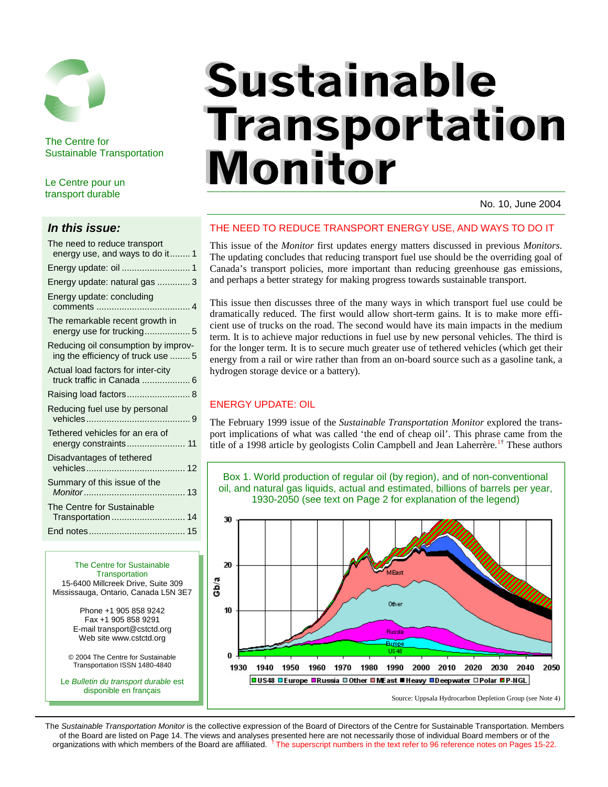

The Centre for Sustainable Transportation

Le Centre pour un transport durable

#### *In this issue:*

| The need to reduce transport<br>energy use, and ways to do it 1           |
|---------------------------------------------------------------------------|
|                                                                           |
| Energy update: natural gas  3                                             |
| Energy update: concluding                                                 |
| The remarkable recent growth in<br>energy use for trucking5               |
| Reducing oil consumption by improv-<br>ing the efficiency of truck use  5 |
| Actual load factors for inter-city<br>truck traffic in Canada  6          |
| Raising load factors 8                                                    |
| Reducing fuel use by personal                                             |
| Tethered vehicles for an era of<br>energy constraints 11                  |
| Disadvantages of tethered                                                 |
| Summary of this issue of the                                              |
| The Centre for Sustainable<br>Transportation  14                          |
|                                                                           |
|                                                                           |

The Centre for Sustainable **Transportation** 15-6400 Millcreek Drive, Suite 309 Mississauga, Ontario, Canada L5N 3E7 Phone +1 905 858 9242 Fax +1 905 858 9291 E-mail transport@cstctd.org Web site www.cstctd.org © 2004 The Centre for Sustainable Transportation ISSN 1480-4840

Le *Bulletin du transport durable* est disponible en français

# **Sustainable Transportation Monitor**

No. 10, June 2004

### THE NEED TO REDUCE TRANSPORT ENERGY USE, AND WAYS TO DO IT

This issue of the *Monitor* first updates energy matters discussed in previous *Monitors*. The updating concludes that reducing transport fuel use should be the overriding goal of Canada's transport policies, more important than reducing greenhouse gas emissions, and perhaps a better strategy for making progress towards sustainable transport.

This issue then discusses three of the many ways in which transport fuel use could be dramatically reduced. The first would allow short-term gains. It is to make more efficient use of trucks on the road. The second would have its main impacts in the medium term. It is to achieve major reductions in fuel use by new personal vehicles. The third is for the longer term. It is to secure much greater use of tethered vehicles (which get their energy from a rail or wire rather than from an on-board source such as a gasoline tank, a hydrogen storage device or a battery).

### ENERGY UPDATE: OIL

The February 1999 issue of the *Sustainable Transportation Monitor* explored the transport implications of what was called 'the end of cheap oil'. This phrase came from the title of a 1998 article by geologists Colin Campbell and Jean Laherrère.<sup>1†</sup> These authors



The *Sustainable Transportation Monitor* is the collective expression of the Board of Directors of the Centre for Sustainable Transportation. Members of the Board are listed on Page 14. The views and analyses presented here are not necessarily those of individual Board members or of the organizations with which members of the Board are affiliated. <sup>†</sup> The superscript numbers in the text refer to 96 reference notes on Pages 15-22.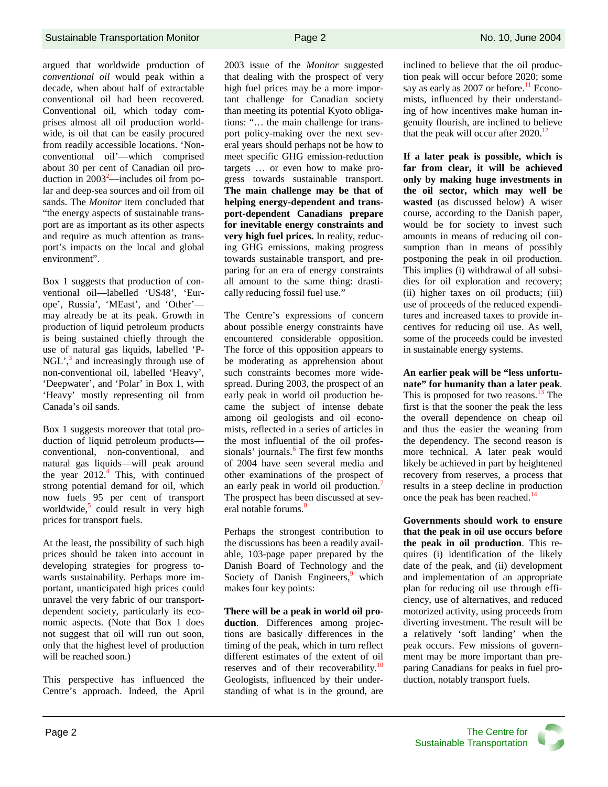argued that worldwide production of *conventional oil* would peak within a decade, when about half of extractable conventional oil had been recovered. Conventional oil, which today comprises almost all oil production worldwide, is oil that can be easily procured from readily accessible locations. 'Nonconventional oil'—which comprised about 30 per cent of Canadian oil production in  $2003^2$ —includes oil from polar and deep-sea sources and oil from oil sands. The *Monitor* item concluded that "the energy aspects of sustainable transport are as important as its other aspects and require as much attention as transport's impacts on the local and global environment".

Box 1 suggests that production of conventional oil—labelled 'US48', 'Europe', Russia', 'MEast', and 'Other' may already be at its peak. Growth in production of liquid petroleum products is being sustained chiefly through the use of natural gas liquids, labelled 'P-NGL', $3$  and increasingly through use of non-conventional oil, labelled 'Heavy', 'Deepwater', and 'Polar' in Box 1, with 'Heavy' mostly representing oil from Canada's oil sands.

Box 1 suggests moreover that total production of liquid petroleum products conventional, non-conventional, and natural gas liquids—will peak around the year  $2012<sup>4</sup>$ . This, with continued strong potential demand for oil, which now fuels 95 per cent of transport worldwide,<sup>5</sup> could result in very high prices for transport fuels.

At the least, the possibility of such high prices should be taken into account in developing strategies for progress towards sustainability. Perhaps more important, unanticipated high prices could unravel the very fabric of our transportdependent society, particularly its economic aspects. (Note that Box 1 does not suggest that oil will run out soon, only that the highest level of production will be reached soon.)

This perspective has influenced the Centre's approach. Indeed, the April 2003 issue of the *Monitor* suggested that dealing with the prospect of very high fuel prices may be a more important challenge for Canadian society than meeting its potential Kyoto obligations: "… the main challenge for transport policy-making over the next several years should perhaps not be how to meet specific GHG emission-reduction targets … or even how to make progress towards sustainable transport. **The main challenge may be that of helping energy-dependent and transport-dependent Canadians prepare for inevitable energy constraints and very high fuel prices.** In reality, reducing GHG emissions, making progress towards sustainable transport, and preparing for an era of energy constraints all amount to the same thing: drastically reducing fossil fuel use."

The Centre's expressions of concern about possible energy constraints have encountered considerable opposition. The force of this opposition appears to be moderating as apprehension about such constraints becomes more widespread. During 2003, the prospect of an early peak in world oil production became the subject of intense debate among oil geologists and oil economists, reflected in a series of articles in the most influential of the oil professionals' journals.<sup>6</sup> The first few months of 2004 have seen several media and other examinations of the prospect of an early peak in world oil production.<sup>7</sup> The prospect has been discussed at several notable forums.<sup>8</sup>

Perhaps the strongest contribution to the discussions has been a readily available, 103-page paper prepared by the Danish Board of Technology and the Society of Danish Engineers, $9$  which makes four key points:

**There will be a peak in world oil production**. Differences among projections are basically differences in the timing of the peak, which in turn reflect different estimates of the extent of oil reserves and of their recoverability.<sup>10</sup> Geologists, influenced by their understanding of what is in the ground, are inclined to believe that the oil production peak will occur before 2020; some say as early as 2007 or before.<sup>11</sup> Economists, influenced by their understanding of how incentives make human ingenuity flourish, are inclined to believe that the peak will occur after  $2020$ .<sup>12</sup>

**If a later peak is possible, which is far from clear, it will be achieved only by making huge investments in the oil sector, which may well be wasted** (as discussed below) A wiser course, according to the Danish paper, would be for society to invest such amounts in means of reducing oil consumption than in means of possibly postponing the peak in oil production. This implies (i) withdrawal of all subsidies for oil exploration and recovery; (ii) higher taxes on oil products; (iii) use of proceeds of the reduced expenditures and increased taxes to provide incentives for reducing oil use. As well, some of the proceeds could be invested in sustainable energy systems.

**An earlier peak will be "less unfortunate" for humanity than a later peak**. This is proposed for two reasons.<sup>13</sup> The first is that the sooner the peak the less the overall dependence on cheap oil and thus the easier the weaning from the dependency. The second reason is more technical. A later peak would likely be achieved in part by heightened recovery from reserves, a process that results in a steep decline in production once the peak has been reached.<sup>14</sup>

**Governments should work to ensure that the peak in oil use occurs before the peak in oil production**. This requires (i) identification of the likely date of the peak, and (ii) development and implementation of an appropriate plan for reducing oil use through efficiency, use of alternatives, and reduced motorized activity, using proceeds from diverting investment. The result will be a relatively 'soft landing' when the peak occurs. Few missions of government may be more important than preparing Canadians for peaks in fuel production, notably transport fuels.

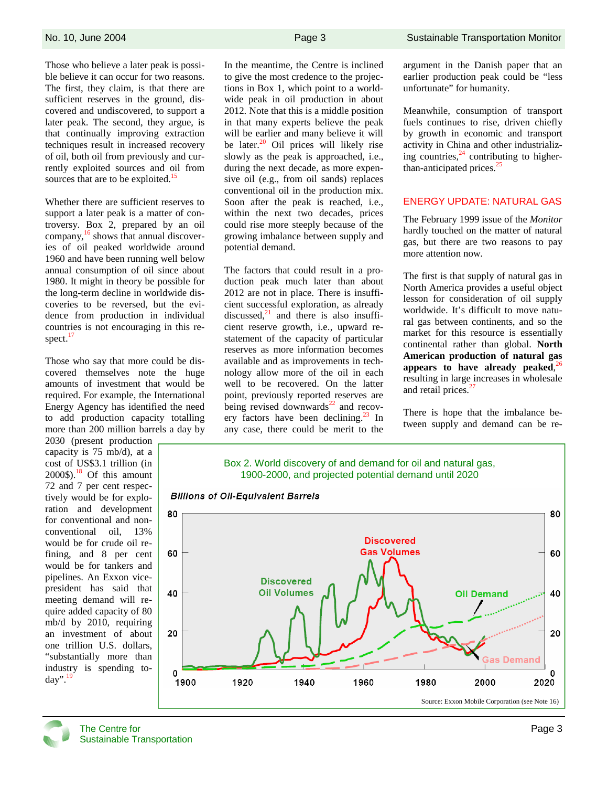Those who believe a later peak is possible believe it can occur for two reasons. The first, they claim, is that there are sufficient reserves in the ground, discovered and undiscovered, to support a later peak. The second, they argue, is that continually improving extraction techniques result in increased recovery of oil, both oil from previously and currently exploited sources and oil from sources that are to be exploited.<sup>15</sup>

Whether there are sufficient reserves to support a later peak is a matter of controversy. Box 2, prepared by an oil company,<sup>16</sup> shows that annual discoveries of oil peaked worldwide around 1960 and have been running well below annual consumption of oil since about 1980. It might in theory be possible for the long-term decline in worldwide discoveries to be reversed, but the evidence from production in individual countries is not encouraging in this respect. $17$ 

Those who say that more could be discovered themselves note the huge amounts of investment that would be required. For example, the International Energy Agency has identified the need to add production capacity totalling more than 200 million barrels a day by

2030 (present production capacity is 75 mb/d), at a cost of US\$3.1 trillion (in  $2000\$ <sup>18</sup> Of this amount 72 and 7 per cent respectively would be for exploration and development for conventional and nonconventional oil, 13% would be for crude oil refining, and 8 per cent would be for tankers and pipelines. An Exxon vicepresident has said that meeting demand will require added capacity of 80 mb/d by 2010, requiring an investment of about one trillion U.S. dollars, "substantially more than industry is spending to- $\text{dav}^{9,19}$ 

In the meantime, the Centre is inclined to give the most credence to the projections in Box 1, which point to a worldwide peak in oil production in about 2012. Note that this is a middle position in that many experts believe the peak will be earlier and many believe it will be later. $20$  Oil prices will likely rise slowly as the peak is approached, i.e., during the next decade, as more expensive oil (e.g., from oil sands) replaces conventional oil in the production mix. Soon after the peak is reached, i.e., within the next two decades, prices could rise more steeply because of the growing imbalance between supply and potential demand.

The factors that could result in a production peak much later than about 2012 are not in place. There is insufficient successful exploration, as already discussed, $^{21}$  and there is also insufficient reserve growth, i.e., upward restatement of the capacity of particular reserves as more information becomes available and as improvements in technology allow more of the oil in each well to be recovered. On the latter point, previously reported reserves are being revised downwards $^{22}$  and recovery factors have been declining.<sup>23</sup> In any case, there could be merit to the argument in the Danish paper that an earlier production peak could be "less unfortunate" for humanity.

Meanwhile, consumption of transport fuels continues to rise, driven chiefly by growth in economic and transport activity in China and other industrializing countries, $24$  contributing to higherthan-anticipated prices. $25$ 

#### ENERGY UPDATE: NATURAL GAS

The February 1999 issue of the *Monitor* hardly touched on the matter of natural gas, but there are two reasons to pay more attention now.

The first is that supply of natural gas in North America provides a useful object lesson for consideration of oil supply worldwide. It's difficult to move natural gas between continents, and so the market for this resource is essentially continental rather than global. **North American production of natural gas appears to have already peaked**, 26 resulting in large increases in wholesale and retail prices.<sup>27</sup>

There is hope that the imbalance between supply and demand can be re-



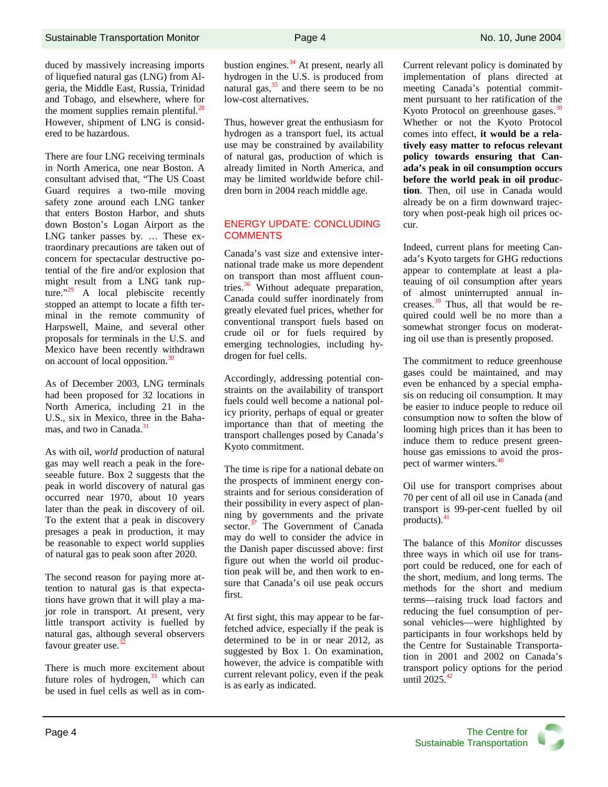duced by massively increasing imports of liquefied natural gas (LNG) from Algeria, the Middle East, Russia, Trinidad and Tobago, and elsewhere, where for the moment supplies remain plentiful.<sup>28</sup> However, shipment of LNG is considered to be hazardous.

There are four LNG receiving terminals in North America, one near Boston. A consultant advised that, "The US Coast Guard requires a two-mile moving safety zone around each LNG tanker that enters Boston Harbor, and shuts down Boston's Logan Airport as the LNG tanker passes by. … These extraordinary precautions are taken out of concern for spectacular destructive potential of the fire and/or explosion that might result from a LNG tank rupture." $29$  A local plebiscite recently stopped an attempt to locate a fifth terminal in the remote community of Harpswell, Maine, and several other proposals for terminals in the U.S. and Mexico have been recently withdrawn on account of local opposition.<sup>30</sup>

As of December 2003, LNG terminals had been proposed for 32 locations in North America, including 21 in the U.S., six in Mexico, three in the Bahamas, and two in Canada.<sup>31</sup>

As with oil, *world* production of natural gas may well reach a peak in the foreseeable future. Box 2 suggests that the peak in world discovery of natural gas occurred near 1970, about 10 years later than the peak in discovery of oil. To the extent that a peak in discovery presages a peak in production, it may be reasonable to expect world supplies of natural gas to peak soon after 2020.

The second reason for paying more attention to natural gas is that expectations have grown that it will play a major role in transport. At present, very little transport activity is fuelled by natural gas, although several observers favour greater use.<sup>3</sup>

There is much more excitement about future roles of hydrogen. $33$  which can be used in fuel cells as well as in combustion engines. $34$  At present, nearly all hydrogen in the U.S. is produced from natural gas, $35$  and there seem to be no low-cost alternatives.

Thus, however great the enthusiasm for hydrogen as a transport fuel, its actual use may be constrained by availability of natural gas, production of which is already limited in North America, and may be limited worldwide before children born in 2004 reach middle age.

#### ENERGY UPDATE: CONCLUDING **COMMENTS**

Canada's vast size and extensive international trade make us more dependent on transport than most affluent countries. $36$  Without adequate preparation, Canada could suffer inordinately from greatly elevated fuel prices, whether for conventional transport fuels based on crude oil or for fuels required by emerging technologies, including hydrogen for fuel cells.

Accordingly, addressing potential constraints on the availability of transport fuels could well become a national policy priority, perhaps of equal or greater importance than that of meeting the transport challenges posed by Canada's Kyoto commitment.

The time is ripe for a national debate on the prospects of imminent energy constraints and for serious consideration of their possibility in every aspect of planning by governments and the private sector.<sup>37</sup> The Government of Canada may do well to consider the advice in the Danish paper discussed above: first figure out when the world oil production peak will be, and then work to ensure that Canada's oil use peak occurs first.

At first sight, this may appear to be farfetched advice, especially if the peak is determined to be in or near 2012, as suggested by Box 1. On examination, however, the advice is compatible with current relevant policy, even if the peak is as early as indicated.

Current relevant policy is dominated by implementation of plans directed at meeting Canada's potential commitment pursuant to her ratification of the Kyoto Protocol on greenhouse gases.<sup>38</sup> Whether or not the Kyoto Protocol comes into effect, **it would be a relatively easy matter to refocus relevant policy towards ensuring that Canada's peak in oil consumption occurs before the world peak in oil production**. Then, oil use in Canada would already be on a firm downward trajectory when post-peak high oil prices occur.

Indeed, current plans for meeting Canada's Kyoto targets for GHG reductions appear to contemplate at least a plateauing of oil consumption after years of almost uninterrupted annual increases.39 Thus, all that would be required could well be no more than a somewhat stronger focus on moderating oil use than is presently proposed.

The commitment to reduce greenhouse gases could be maintained, and may even be enhanced by a special emphasis on reducing oil consumption. It may be easier to induce people to reduce oil consumption now to soften the blow of looming high prices than it has been to induce them to reduce present greenhouse gas emissions to avoid the prospect of warmer winters.<sup>40</sup>

Oil use for transport comprises about 70 per cent of all oil use in Canada (and transport is 99-per-cent fuelled by oil products). $41$ 

The balance of this *Monitor* discusses three ways in which oil use for transport could be reduced, one for each of the short, medium, and long terms. The methods for the short and medium terms—raising truck load factors and reducing the fuel consumption of personal vehicles—were highlighted by participants in four workshops held by the Centre for Sustainable Transportation in 2001 and 2002 on Canada's transport policy options for the period until  $2025.^{42}$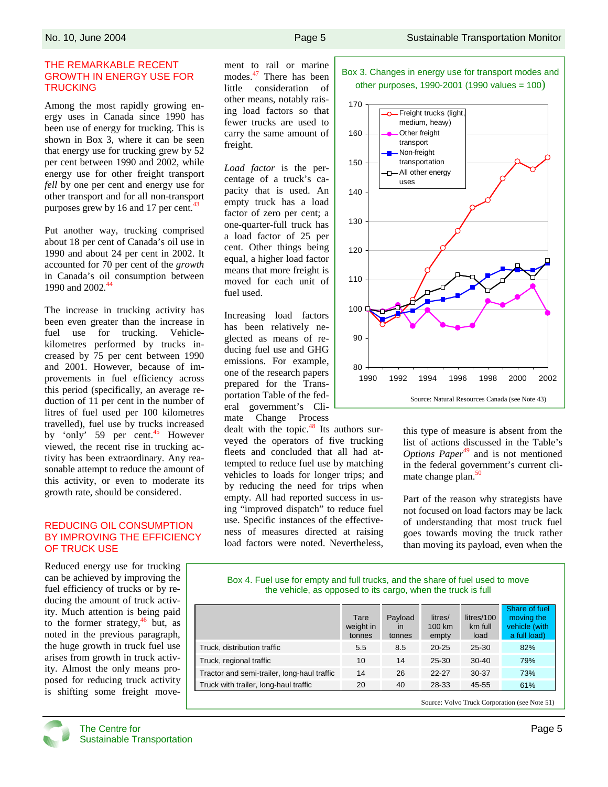#### THE REMARKABLE RECENT GROWTH IN ENERGY USE FOR **TRUCKING**

Among the most rapidly growing energy uses in Canada since 1990 has been use of energy for trucking. This is shown in Box 3, where it can be seen that energy use for trucking grew by 52 per cent between 1990 and 2002, while energy use for other freight transport *fell* by one per cent and energy use for other transport and for all non-transport purposes grew by 16 and 17 per cent. $43$ 

Put another way, trucking comprised about 18 per cent of Canada's oil use in 1990 and about 24 per cent in 2002. It accounted for 70 per cent of the *growth* in Canada's oil consumption between 1990 and 2002*.* 44

The increase in trucking activity has been even greater than the increase in fuel use for trucking. Vehiclekilometres performed by trucks increased by 75 per cent between 1990 and 2001. However, because of improvements in fuel efficiency across this period (specifically, an average reduction of 11 per cent in the number of litres of fuel used per 100 kilometres travelled), fuel use by trucks increased by 'only' 59 per cent.<sup>45</sup> However viewed, the recent rise in trucking activity has been extraordinary. Any reasonable attempt to reduce the amount of this activity, or even to moderate its growth rate, should be considered.

#### REDUCING OIL CONSUMPTION BY IMPROVING THE EFFICIENCY OF TRUCK USE

Reduced energy use for trucking can be achieved by improving the fuel efficiency of trucks or by reducing the amount of truck activity. Much attention is being paid to the former strategy, $46$  but, as noted in the previous paragraph, the huge growth in truck fuel use arises from growth in truck activity. Almost the only means proposed for reducing truck activity is shifting some freight movement to rail or marine modes.<sup>47</sup> There has been little consideration of other means, notably raising load factors so that fewer trucks are used to carry the same amount of freight.

*Load factor* is the percentage of a truck's capacity that is used. An empty truck has a load factor of zero per cent; a one-quarter-full truck has a load factor of 25 per cent. Other things being equal, a higher load factor means that more freight is moved for each unit of fuel used.

Increasing load factors has been relatively neglected as means of reducing fuel use and GHG emissions. For example, one of the research papers prepared for the Transportation Table of the federal government's Climate Change Process

dealt with the topic.<sup>48</sup> Its authors surveyed the operators of five trucking fleets and concluded that all had attempted to reduce fuel use by matching vehicles to loads for longer trips; and by reducing the need for trips when empty. All had reported success in using "improved dispatch" to reduce fuel use. Specific instances of the effectiveness of measures directed at raising load factors were noted. Nevertheless,





this type of measure is absent from the list of actions discussed in the Table's *Options Paper*<sup>49</sup> and is not mentioned in the federal government's current climate change plan.<sup>50</sup>

Part of the reason why strategists have not focused on load factors may be lack of understanding that most truck fuel goes towards moving the truck rather than moving its payload, even when the

#### Box 4. Fuel use for empty and full trucks, and the share of fuel used to move the vehicle, as opposed to its cargo, when the truck is full

|                                             | Tare<br>weight in<br>tonnes | Payload<br>in<br>tonnes | litres/<br>100 km<br>empty | litres/100<br>km full<br>load | Share of fuel<br>moving the<br>vehicle (with<br>a full load) |
|---------------------------------------------|-----------------------------|-------------------------|----------------------------|-------------------------------|--------------------------------------------------------------|
| Truck, distribution traffic                 | 5.5                         | 8.5                     | $20 - 25$                  | 25-30                         | 82%                                                          |
| Truck, regional traffic                     | 10                          | 14                      | $25 - 30$                  | $30-40$                       | 79%                                                          |
| Tractor and semi-trailer, long-haul traffic | 14                          | 26                      | $22 - 27$                  | 30-37                         | 73%                                                          |
| Truck with trailer, long-haul traffic       | 20                          | 40                      | 28-33                      | 45-55                         | 61%                                                          |

Source: Volvo Truck Corporation (see Note 51)

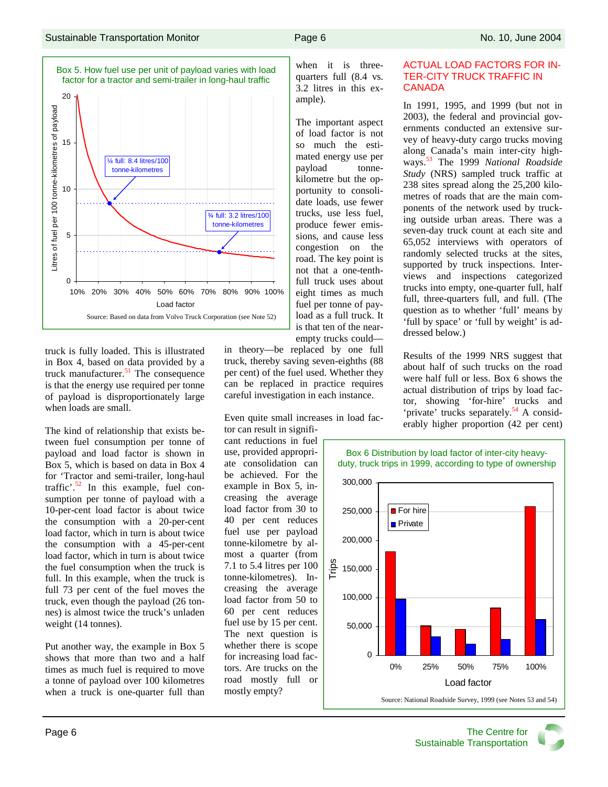

truck is fully loaded. This is illustrated in Box 4, based on data provided by a truck manufacturer. $51$  The consequence is that the energy use required per tonne of payload is disproportionately large when loads are small.

The kind of relationship that exists between fuel consumption per tonne of payload and load factor is shown in Box 5, which is based on data in Box 4 for 'Tractor and semi-trailer, long-haul traffic'.<sup>52</sup> In this example, fuel consumption per tonne of payload with a 10-per-cent load factor is about twice the consumption with a 20-per-cent load factor, which in turn is about twice the consumption with a 45-per-cent load factor, which in turn is about twice the fuel consumption when the truck is full. In this example, when the truck is full 73 per cent of the fuel moves the truck, even though the payload (26 tonnes) is almost twice the truck's unladen weight (14 tonnes).

Put another way, the example in Box 5 shows that more than two and a half times as much fuel is required to move a tonne of payload over 100 kilometres when a truck is one-quarter full than in theory—be replaced by one full truck, thereby saving seven-eighths (88 per cent) of the fuel used. Whether they can be replaced in practice requires careful investigation in each instance.

Even quite small increases in load fac-

tor can result in significant reductions in fuel use, provided appropriate consolidation can be achieved. For the example in Box 5, increasing the average load factor from 30 to 40 per cent reduces fuel use per payload tonne-kilometre by almost a quarter (from 7.1 to 5.4 litres per 100 tonne-kilometres). Increasing the average load factor from 50 to 60 per cent reduces fuel use by 15 per cent. The next question is whether there is scope for increasing load factors. Are trucks on the road mostly full or mostly empty?

when it is threequarters full (8.4 vs. 3.2 litres in this example).

The important aspect of load factor is not so much the estimated energy use per payload tonnekilometre but the opportunity to consolidate loads, use fewer trucks, use less fuel, produce fewer emissions, and cause less congestion on the road. The key point is not that a one-tenthfull truck uses about eight times as much fuel per tonne of payload as a full truck. It is that ten of the nearempty trucks could—

#### ACTUAL LOAD FACTORS FOR IN-TER-CITY TRUCK TRAFFIC IN **CANADA**

In 1991, 1995, and 1999 (but not in 2003), the federal and provincial governments conducted an extensive survey of heavy-duty cargo trucks moving along Canada's main inter-city highways.53 The 1999 *National Roadside Study* (NRS) sampled truck traffic at 238 sites spread along the 25,200 kilometres of roads that are the main components of the network used by trucking outside urban areas. There was a seven-day truck count at each site and 65,052 interviews with operators of randomly selected trucks at the sites, supported by truck inspections. Interviews and inspections categorized trucks into empty, one-quarter full, half full, three-quarters full, and full. (The question as to whether 'full' means by 'full by space' or 'full by weight' is addressed below.)

Results of the 1999 NRS suggest that about half of such trucks on the road were half full or less. Box 6 shows the actual distribution of trips by load factor, showing 'for-hire' trucks and 'private' trucks separately.<sup>54</sup> A considerably higher proportion (42 per cent)



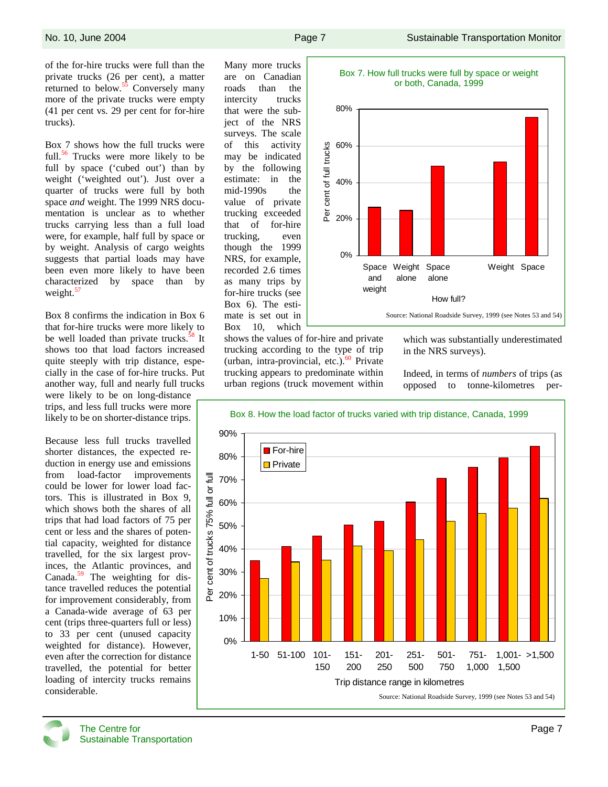of the for-hire trucks were full than the private trucks (26 per cent), a matter returned to below. $55$  Conversely many more of the private trucks were empty (41 per cent vs. 29 per cent for for-hire trucks).

Box 7 shows how the full trucks were full.<sup>56</sup> Trucks were more likely to be full by space ('cubed out') than by weight ('weighted out'). Just over a quarter of trucks were full by both space *and* weight. The 1999 NRS documentation is unclear as to whether trucks carrying less than a full load were, for example, half full by space or by weight. Analysis of cargo weights suggests that partial loads may have been even more likely to have been characterized by space than by weight. $5$ 

Box 8 confirms the indication in Box 6 that for-hire trucks were more likely to be well loaded than private trucks.<sup>58</sup> It shows too that load factors increased quite steeply with trip distance, especially in the case of for-hire trucks. Put another way, full and nearly full trucks were likely to be on long-distance trips, and less full trucks were more likely to be on shorter-distance trips.

Because less full trucks travelled shorter distances, the expected reduction in energy use and emissions from load-factor improvements could be lower for lower load factors. This is illustrated in Box 9, which shows both the shares of all trips that had load factors of 75 per cent or less and the shares of potential capacity, weighted for distance travelled, for the six largest provinces, the Atlantic provinces, and Canada.<sup>59</sup> The weighting for distance travelled reduces the potential for improvement considerably, from a Canada-wide average of 63 per cent (trips three-quarters full or less) to 33 per cent (unused capacity weighted for distance). However, even after the correction for distance travelled, the potential for better loading of intercity trucks remains considerable.

Many more trucks are on Canadian roads than the intercity trucks that were the subject of the NRS surveys. The scale of this activity may be indicated by the following estimate: in the mid-1990s the value of private trucking exceeded that of for-hire trucking, even though the 1999 NRS, for example, recorded 2.6 times as many trips by for-hire trucks (see Box 6). The estimate is set out in Box 10, which



shows the values of for-hire and private trucking according to the type of trip (urban, intra-provincial, etc.). $60$  Private trucking appears to predominate within urban regions (truck movement within

which was substantially underestimated in the NRS surveys).

Indeed, in terms of *numbers* of trips (as opposed to tonne-kilometres per-



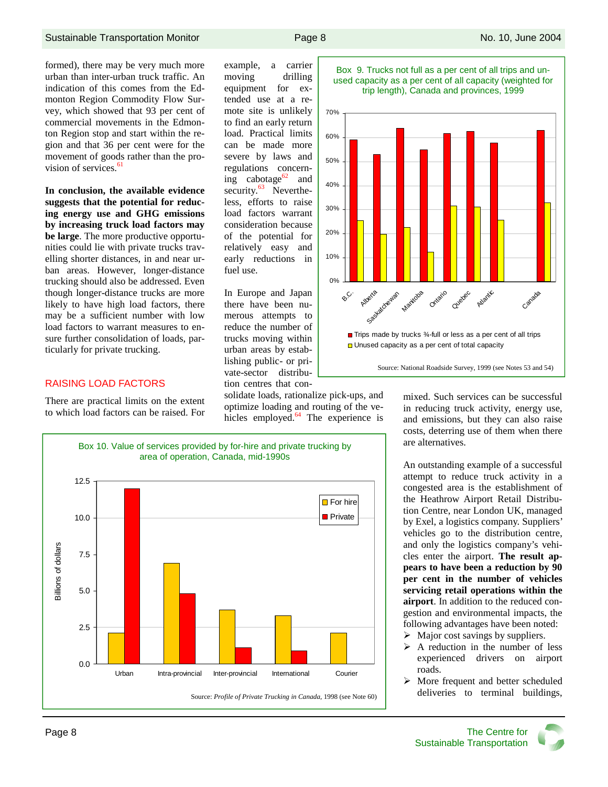formed), there may be very much more urban than inter-urban truck traffic. An indication of this comes from the Edmonton Region Commodity Flow Survey, which showed that 93 per cent of commercial movements in the Edmonton Region stop and start within the region and that 36 per cent were for the movement of goods rather than the provision of services.<sup>61</sup>

**In conclusion, the available evidence suggests that the potential for reducing energy use and GHG emissions by increasing truck load factors may be large**. The more productive opportunities could lie with private trucks travelling shorter distances, in and near urban areas. However, longer-distance trucking should also be addressed. Even though longer-distance trucks are more likely to have high load factors, there may be a sufficient number with low load factors to warrant measures to ensure further consolidation of loads, particularly for private trucking.

#### RAISING LOAD FACTORS

There are practical limits on the extent to which load factors can be raised. For



In Europe and Japan there have been numerous attempts to reduce the number of trucks moving within urban areas by establishing public- or private-sector distribution centres that con-

fuel use.

solidate loads, rationalize pick-ups, and optimize loading and routing of the vehicles employed. $64$  The experience is







Box 10. Value of services provided by for-hire and private trucking by area of operation, Canada, mid-1990s



mixed. Such services can be successful in reducing truck activity, energy use, and emissions, but they can also raise costs, deterring use of them when there are alternatives.

An outstanding example of a successful attempt to reduce truck activity in a congested area is the establishment of the Heathrow Airport Retail Distribution Centre, near London UK, managed by Exel, a logistics company. Suppliers' vehicles go to the distribution centre, and only the logistics company's vehicles enter the airport. **The result appears to have been a reduction by 90 per cent in the number of vehicles servicing retail operations within the airport**. In addition to the reduced congestion and environmental impacts, the following advantages have been noted:

- $\triangleright$  Major cost savings by suppliers.
- $\triangleright$  A reduction in the number of less experienced drivers on airport roads.
- $\triangleright$  More frequent and better scheduled deliveries to terminal buildings,

Page 8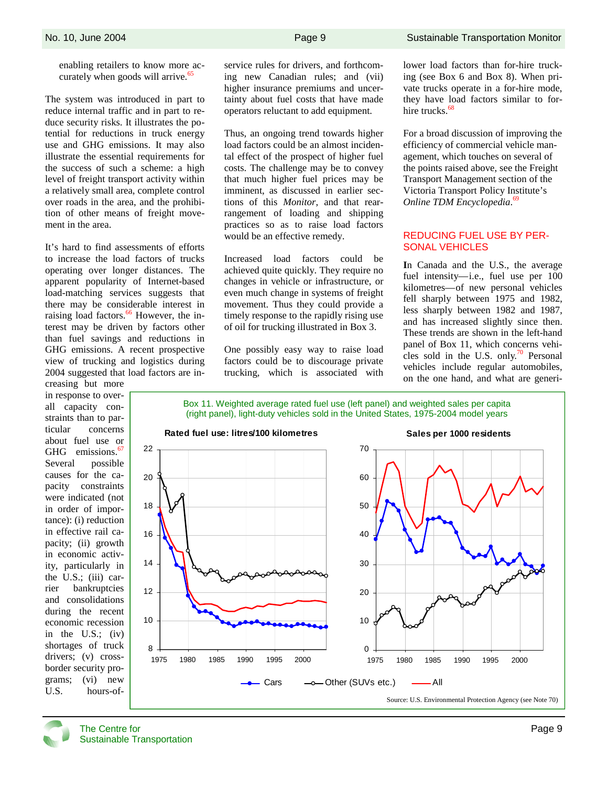enabling retailers to know more accurately when goods will arrive.<sup>65</sup>

The system was introduced in part to reduce internal traffic and in part to reduce security risks. It illustrates the potential for reductions in truck energy use and GHG emissions. It may also illustrate the essential requirements for the success of such a scheme: a high level of freight transport activity within a relatively small area, complete control over roads in the area, and the prohibition of other means of freight movement in the area.

It's hard to find assessments of efforts to increase the load factors of trucks operating over longer distances. The apparent popularity of Internet-based load-matching services suggests that there may be considerable interest in raising load factors.<sup>66</sup> However, the interest may be driven by factors other than fuel savings and reductions in GHG emissions. A recent prospective view of trucking and logistics during 2004 suggested that load factors are in-

creasing but more in response to overall capacity constraints than to particular concerns about fuel use or GHG emissions. $\frac{6}{5}$ Several possible causes for the capacity constraints were indicated (not in order of importance): (i) reduction in effective rail capacity; (ii) growth in economic activity, particularly in the U.S.; (iii) carrier bankruptcies and consolidations during the recent economic recession in the U.S.; (iv) shortages of truck drivers; (v) crossborder security programs; (vi) new U.S. hours-ofservice rules for drivers, and forthcoming new Canadian rules; and (vii) higher insurance premiums and uncertainty about fuel costs that have made operators reluctant to add equipment.

Thus, an ongoing trend towards higher load factors could be an almost incidental effect of the prospect of higher fuel costs. The challenge may be to convey that much higher fuel prices may be imminent, as discussed in earlier sections of this *Monitor*, and that rearrangement of loading and shipping practices so as to raise load factors would be an effective remedy.

Increased load factors could be achieved quite quickly. They require no changes in vehicle or infrastructure, or even much change in systems of freight movement. Thus they could provide a timely response to the rapidly rising use of oil for trucking illustrated in Box 3.

One possibly easy way to raise load factors could be to discourage private trucking, which is associated with lower load factors than for-hire trucking (see Box 6 and Box 8). When private trucks operate in a for-hire mode, they have load factors similar to forhire trucks. $68$ 

For a broad discussion of improving the efficiency of commercial vehicle management, which touches on several of the points raised above, see the Freight Transport Management section of the Victoria Transport Policy Institute's *Online TDM Encyclopedia*. 69

#### REDUCING FUEL USE BY PER-SONAL VEHICLES

**I**n Canada and the U.S., the average fuel intensity—i.e., fuel use per 100 kilometres—of new personal vehicles fell sharply between 1975 and 1982, less sharply between 1982 and 1987, and has increased slightly since then. These trends are shown in the left-hand panel of Box 11, which concerns vehicles sold in the U.S. only.<sup>70</sup> Personal vehicles include regular automobiles, on the one hand, and what are generi-

Box 11. Weighted average rated fuel use (left panel) and weighted sales per capita (right panel), light-duty vehicles sold in the United States, 1975-2004 model years



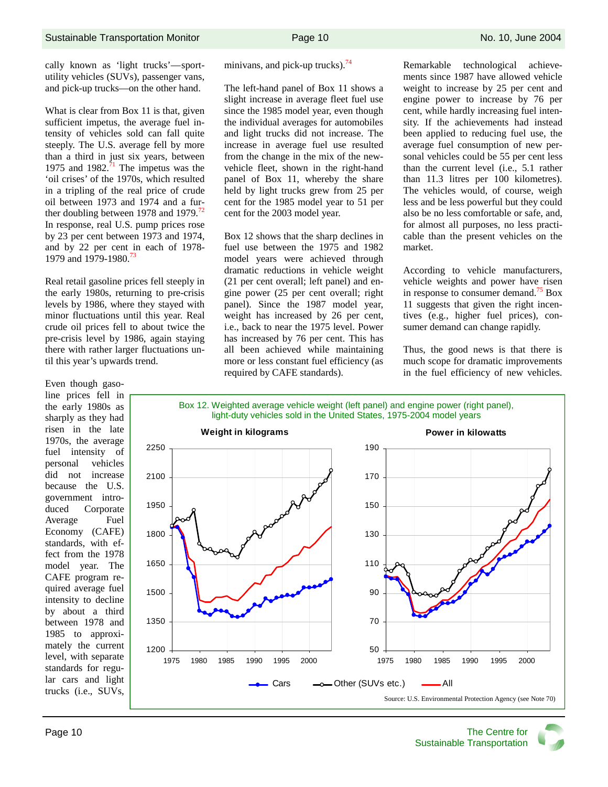cally known as 'light trucks'—sportutility vehicles (SUVs), passenger vans, and pick-up trucks—on the other hand.

What is clear from Box 11 is that, given sufficient impetus, the average fuel intensity of vehicles sold can fall quite steeply. The U.S. average fell by more than a third in just six years, between 1975 and 1982. $\frac{1}{1}$  The impetus was the 'oil crises' of the 1970s, which resulted in a tripling of the real price of crude oil between 1973 and 1974 and a further doubling between 1978 and 1979.<sup>72</sup> In response, real U.S. pump prices rose by 23 per cent between 1973 and 1974, and by 22 per cent in each of 1978- 1979 and 1979-1980.<sup>73</sup>

Real retail gasoline prices fell steeply in the early 1980s, returning to pre-crisis levels by 1986, where they stayed with minor fluctuations until this year. Real crude oil prices fell to about twice the pre-crisis level by 1986, again staying there with rather larger fluctuations until this year's upwards trend.

Even though gasoline prices fell in the early 1980s as sharply as they had risen in the late 1970s, the average fuel intensity of personal vehicles did not increase because the U.S. government introduced Corporate Average Fuel Economy (CAFE) standards, with effect from the 1978 model year. The CAFE program required average fuel intensity to decline by about a third between 1978 and 1985 to approximately the current level, with separate standards for regular cars and light trucks (i.e., SUVs, minivans, and pick-up trucks). $74$ 

The left-hand panel of Box 11 shows a slight increase in average fleet fuel use since the 1985 model year, even though the individual averages for automobiles and light trucks did not increase. The increase in average fuel use resulted from the change in the mix of the newvehicle fleet, shown in the right-hand panel of Box 11, whereby the share held by light trucks grew from 25 per cent for the 1985 model year to 51 per cent for the 2003 model year.

Box 12 shows that the sharp declines in fuel use between the 1975 and 1982 model years were achieved through dramatic reductions in vehicle weight (21 per cent overall; left panel) and engine power (25 per cent overall; right panel). Since the 1987 model year, weight has increased by 26 per cent, i.e., back to near the 1975 level. Power has increased by 76 per cent. This has all been achieved while maintaining more or less constant fuel efficiency (as required by CAFE standards).

Remarkable technological achievements since 1987 have allowed vehicle weight to increase by 25 per cent and engine power to increase by 76 per cent, while hardly increasing fuel intensity. If the achievements had instead been applied to reducing fuel use, the average fuel consumption of new personal vehicles could be 55 per cent less than the current level (i.e., 5.1 rather than 11.3 litres per 100 kilometres). The vehicles would, of course, weigh less and be less powerful but they could also be no less comfortable or safe, and, for almost all purposes, no less practicable than the present vehicles on the market.

According to vehicle manufacturers, vehicle weights and power have risen in response to consumer demand.<sup>75</sup> Box 11 suggests that given the right incentives (e.g., higher fuel prices), consumer demand can change rapidly.

Thus, the good news is that there is much scope for dramatic improvements in the fuel efficiency of new vehicles.

Box 12. Weighted average vehicle weight (left panel) and engine power (right panel), light-duty vehicles sold in the United States, 1975-2004 model years

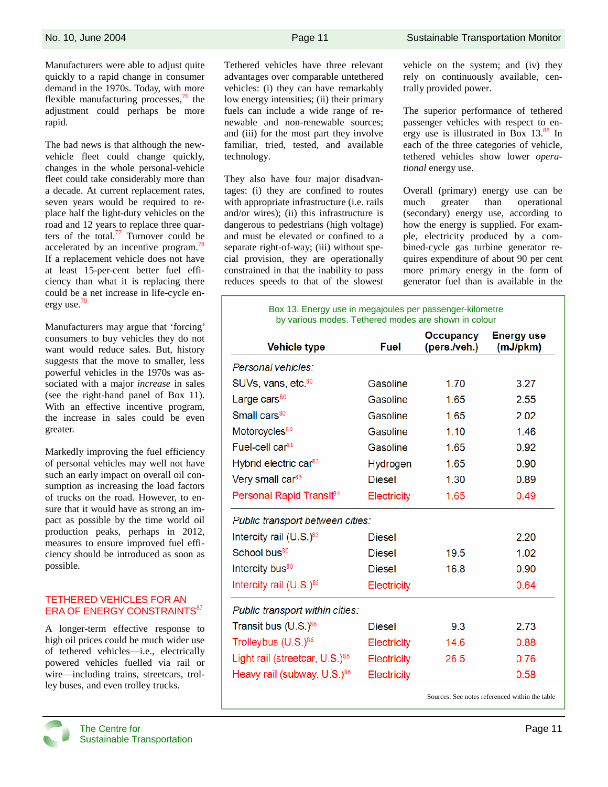Manufacturers were able to adjust quite quickly to a rapid change in consumer demand in the 1970s. Today, with more flexible manufacturing processes, $^{76}$  the adjustment could perhaps be more rapid.

The bad news is that although the newvehicle fleet could change quickly, changes in the whole personal-vehicle fleet could take considerably more than a decade. At current replacement rates, seven years would be required to replace half the light-duty vehicles on the road and 12 years to replace three quarters of the total. $77$  Turnover could be accelerated by an incentive program.<sup>78</sup> If a replacement vehicle does not have at least 15-per-cent better fuel efficiency than what it is replacing there could be a net increase in life-cycle energy use.<sup>79</sup>

Manufacturers may argue that 'forcing' consumers to buy vehicles they do not want would reduce sales. But, history suggests that the move to smaller, less powerful vehicles in the 1970s was associated with a major *increase* in sales (see the right-hand panel of Box 11). With an effective incentive program. the increase in sales could be even greater.

Markedly improving the fuel efficiency of personal vehicles may well not have such an early impact on overall oil consumption as increasing the load factors of trucks on the road. However, to ensure that it would have as strong an impact as possible by the time world oil production peaks, perhaps in 2012, measures to ensure improved fuel efficiency should be introduced as soon as possible.

### TETHERED VEHICLES FOR AN ERA OF ENERGY CONSTRAINTS<sup>87</sup>

A longer-term effective response to high oil prices could be much wider use of tethered vehicles—i.e., electrically powered vehicles fuelled via rail or wire—including trains, streetcars, trolley buses, and even trolley trucks.

Tethered vehicles have three relevant advantages over comparable untethered vehicles: (i) they can have remarkably low energy intensities; (ii) their primary fuels can include a wide range of renewable and non-renewable sources; and (iii) for the most part they involve familiar, tried, tested, and available technology.

They also have four major disadvantages: (i) they are confined to routes with appropriate infrastructure (i.e. rails and/or wires); (ii) this infrastructure is dangerous to pedestrians (high voltage) and must be elevated or confined to a separate right-of-way; (iii) without special provision, they are operationally constrained in that the inability to pass reduces speeds to that of the slowest vehicle on the system; and (iv) they rely on continuously available, centrally provided power.

The superior performance of tethered passenger vehicles with respect to energy use is illustrated in Box  $13^{88}$  In each of the three categories of vehicle, tethered vehicles show lower *operational* energy use.

Overall (primary) energy use can be much greater than operational (secondary) energy use, according to how the energy is supplied. For example, electricity produced by a combined-cycle gas turbine generator requires expenditure of about 90 per cent more primary energy in the form of generator fuel than is available in the

Box 13. Energy use in megajoules per passenger-kilometre by various modes. Tethered modes are shown in colour

| <b>Vehicle type</b>                        | Fuel               | Occupancy<br>(pers./veh.) | <b>Energy use</b><br>(mJ/pkm) |
|--------------------------------------------|--------------------|---------------------------|-------------------------------|
| Personal vehicles:                         |                    |                           |                               |
| SUVs, vans, etc. <sup>80</sup>             | Gasoline           | 1.70                      | 3.27                          |
| Large cars <sup>80</sup>                   | Gasoline           | 1.65                      | 2.55                          |
| Small cars <sup>80</sup>                   | Gasoline           | 1.65                      | 2.02                          |
| Motorcycles <sup>80</sup>                  | Gasoline           | 1.10                      | 1.46                          |
| Fuel-cell car <sup>81</sup>                | Gasoline           | 1.65                      | 0.92                          |
| Hybrid electric car <sup>82</sup>          | Hydrogen           | 1.65                      | 0.90                          |
| Very small car <sup>83</sup>               | <b>Diesel</b>      | 1.30                      | 0.89                          |
| Personal Rapid Transit <sup>84</sup>       | Electricity        | 1.65                      | 0.49                          |
| Public transport between cities:           |                    |                           |                               |
| Intercity rail $(U.S.)^{85}$               | <b>Diesel</b>      |                           | 2.20                          |
| School bus <sup>80</sup>                   | <b>Diesel</b>      | 19.5                      | 1.02                          |
| Intercity bus <sup>80</sup>                | <b>Diesel</b>      | 16.8                      | 0.90                          |
| Intercity rail $(U.S.)$ <sup>85</sup>      | Electricity        |                           | 0.64                          |
| Public transport within cities:            |                    |                           |                               |
| Transit bus $(U.S.)^{86}$                  | <b>Diesel</b>      | 9.3                       | 2.73                          |
| Trolleybus (U.S.) <sup>86</sup>            | <b>Electricity</b> | 14.6                      | 0.88                          |
| Light rail (streetcar, U.S.) <sup>86</sup> | Electricity        | 26.5                      | 0.76                          |
| Heavy rail (subway, U.S.) <sup>86</sup>    | Electricity        |                           | 0.58                          |

Sources: See notes referenced within the table

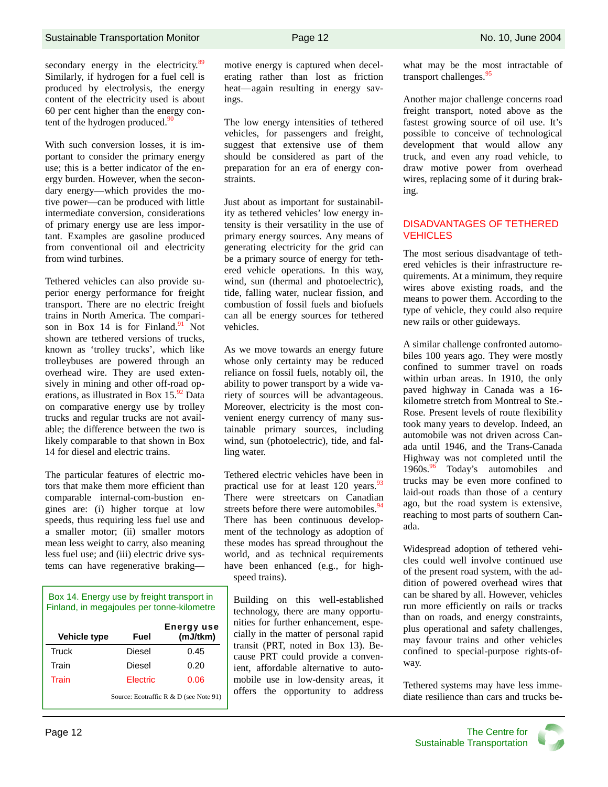secondary energy in the electricity.<sup>89</sup> Similarly, if hydrogen for a fuel cell is produced by electrolysis, the energy content of the electricity used is about 60 per cent higher than the energy content of the hydrogen produced. $\frac{90}{90}$ 

With such conversion losses, it is important to consider the primary energy use; this is a better indicator of the energy burden. However, when the secondary energy—which provides the motive power—can be produced with little intermediate conversion, considerations of primary energy use are less important. Examples are gasoline produced from conventional oil and electricity from wind turbines.

Tethered vehicles can also provide superior energy performance for freight transport. There are no electric freight trains in North America. The comparison in Box 14 is for Finland. $91$  Not shown are tethered versions of trucks, known as 'trolley trucks', which like trolleybuses are powered through an overhead wire. They are used extensively in mining and other off-road operations, as illustrated in Box  $15.^{92}$  Data on comparative energy use by trolley trucks and regular trucks are not available; the difference between the two is likely comparable to that shown in Box 14 for diesel and electric trains.

The particular features of electric motors that make them more efficient than comparable internal-com-bustion engines are: (i) higher torque at low speeds, thus requiring less fuel use and a smaller motor; (ii) smaller motors mean less weight to carry, also meaning less fuel use; and (iii) electric drive systems can have regenerative braking—

| Box 14. Energy use by freight transport in<br>Finland, in megajoules per tonne-kilometre |                 |                               |  |  |  |
|------------------------------------------------------------------------------------------|-----------------|-------------------------------|--|--|--|
| <b>Vehicle type</b>                                                                      | Fuel            | <b>Energy use</b><br>(mJ/tkm) |  |  |  |
| Truck                                                                                    | Diesel          | 0.45                          |  |  |  |
| Train                                                                                    | Diesel          | 0.20                          |  |  |  |
| Train                                                                                    | <b>Flectric</b> | 0.06                          |  |  |  |
| Source: Ecotraffic R & D (see Note 91)                                                   |                 |                               |  |  |  |

motive energy is captured when decelerating rather than lost as friction heat—again resulting in energy savings.

The low energy intensities of tethered vehicles, for passengers and freight, suggest that extensive use of them should be considered as part of the preparation for an era of energy constraints.

Just about as important for sustainability as tethered vehicles' low energy intensity is their versatility in the use of primary energy sources. Any means of generating electricity for the grid can be a primary source of energy for tethered vehicle operations. In this way, wind, sun (thermal and photoelectric), tide, falling water, nuclear fission, and combustion of fossil fuels and biofuels can all be energy sources for tethered vehicles.

As we move towards an energy future whose only certainty may be reduced reliance on fossil fuels, notably oil, the ability to power transport by a wide variety of sources will be advantageous. Moreover, electricity is the most convenient energy currency of many sustainable primary sources, including wind, sun (photoelectric), tide, and falling water.

Tethered electric vehicles have been in practical use for at least  $120$  years.<sup>93</sup> There were streetcars on Canadian streets before there were automobiles.  $94$ There has been continuous development of the technology as adoption of these modes has spread throughout the world, and as technical requirements have been enhanced (e.g., for highspeed trains).

Building on this well-established technology, there are many opportunities for further enhancement, especially in the matter of personal rapid transit (PRT, noted in Box 13). Because PRT could provide a convenient, affordable alternative to automobile use in low-density areas, it offers the opportunity to address what may be the most intractable of transport challenges.<sup>95</sup>

Another major challenge concerns road freight transport, noted above as the fastest growing source of oil use. It's possible to conceive of technological development that would allow any truck, and even any road vehicle, to draw motive power from overhead wires, replacing some of it during braking.

#### DISADVANTAGES OF TETHERED **VEHICLES**

The most serious disadvantage of tethered vehicles is their infrastructure requirements. At a minimum, they require wires above existing roads, and the means to power them. According to the type of vehicle, they could also require new rails or other guideways.

A similar challenge confronted automobiles 100 years ago. They were mostly confined to summer travel on roads within urban areas. In 1910, the only paved highway in Canada was a 16 kilometre stretch from Montreal to Ste.- Rose. Present levels of route flexibility took many years to develop. Indeed, an automobile was not driven across Canada until 1946, and the Trans-Canada Highway was not completed until the 1960s.<sup>96</sup> Today's automobiles and trucks may be even more confined to laid-out roads than those of a century ago, but the road system is extensive, reaching to most parts of southern Canada.

Widespread adoption of tethered vehicles could well involve continued use of the present road system, with the addition of powered overhead wires that can be shared by all. However, vehicles run more efficiently on rails or tracks than on roads, and energy constraints, plus operational and safety challenges, may favour trains and other vehicles confined to special-purpose rights-ofway.

Tethered systems may have less immediate resilience than cars and trucks be-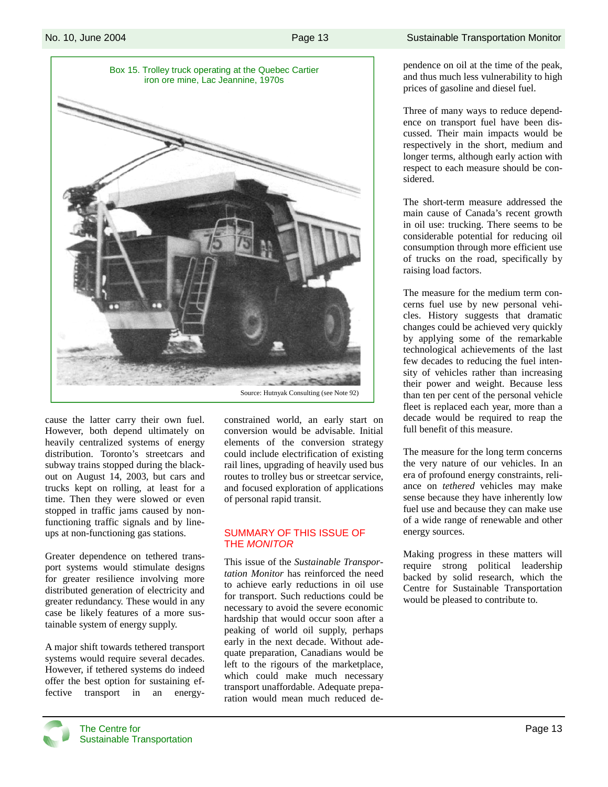

cause the latter carry their own fuel. However, both depend ultimately on heavily centralized systems of energy distribution. Toronto's streetcars and subway trains stopped during the blackout on August 14, 2003, but cars and trucks kept on rolling, at least for a time. Then they were slowed or even stopped in traffic jams caused by nonfunctioning traffic signals and by lineups at non-functioning gas stations.

Greater dependence on tethered transport systems would stimulate designs for greater resilience involving more distributed generation of electricity and greater redundancy. These would in any case be likely features of a more sustainable system of energy supply.

A major shift towards tethered transport systems would require several decades. However, if tethered systems do indeed offer the best option for sustaining effective transport in an energyconstrained world, an early start on conversion would be advisable. Initial elements of the conversion strategy could include electrification of existing rail lines, upgrading of heavily used bus routes to trolley bus or streetcar service, and focused exploration of applications of personal rapid transit.

## SUMMARY OF THIS ISSUE OF THE *MONITOR*

This issue of the *Sustainable Transportation Monitor* has reinforced the need to achieve early reductions in oil use for transport. Such reductions could be necessary to avoid the severe economic hardship that would occur soon after a peaking of world oil supply, perhaps early in the next decade. Without adequate preparation, Canadians would be left to the rigours of the marketplace, which could make much necessary transport unaffordable. Adequate preparation would mean much reduced dependence on oil at the time of the peak, and thus much less vulnerability to high prices of gasoline and diesel fuel.

Three of many ways to reduce dependence on transport fuel have been discussed. Their main impacts would be respectively in the short, medium and longer terms, although early action with respect to each measure should be considered.

The short-term measure addressed the main cause of Canada's recent growth in oil use: trucking. There seems to be considerable potential for reducing oil consumption through more efficient use of trucks on the road, specifically by raising load factors.

The measure for the medium term concerns fuel use by new personal vehicles. History suggests that dramatic changes could be achieved very quickly by applying some of the remarkable technological achievements of the last few decades to reducing the fuel intensity of vehicles rather than increasing their power and weight. Because less than ten per cent of the personal vehicle fleet is replaced each year, more than a decade would be required to reap the full benefit of this measure.

The measure for the long term concerns the very nature of our vehicles. In an era of profound energy constraints, reliance on *tethered* vehicles may make sense because they have inherently low fuel use and because they can make use of a wide range of renewable and other energy sources.

Making progress in these matters will require strong political leadership backed by solid research, which the Centre for Sustainable Transportation would be pleased to contribute to.

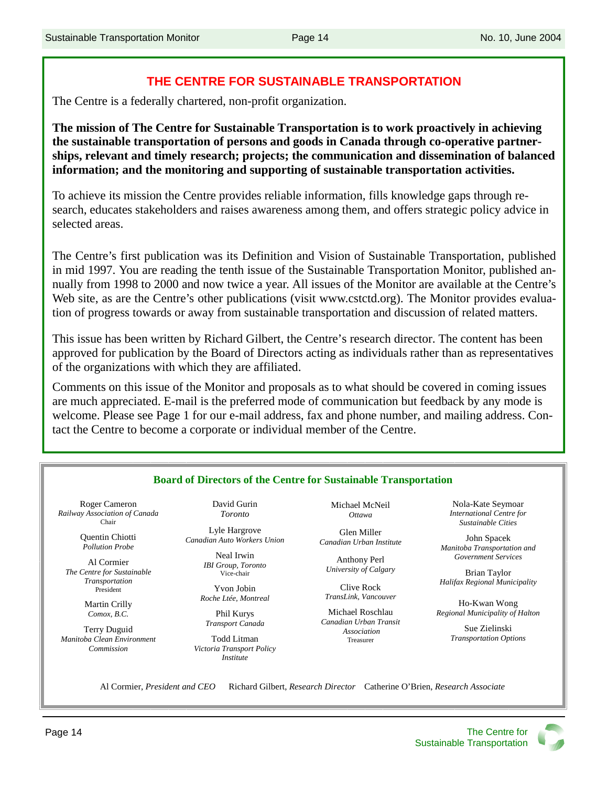## **THE CENTRE FOR SUSTAINABLE TRANSPORTATION**

The Centre is a federally chartered, non-profit organization.

**The mission of The Centre for Sustainable Transportation is to work proactively in achieving the sustainable transportation of persons and goods in Canada through co-operative partnerships, relevant and timely research; projects; the communication and dissemination of balanced information; and the monitoring and supporting of sustainable transportation activities.** 

To achieve its mission the Centre provides reliable information, fills knowledge gaps through research, educates stakeholders and raises awareness among them, and offers strategic policy advice in selected areas.

The Centre's first publication was its Definition and Vision of Sustainable Transportation, published in mid 1997. You are reading the tenth issue of the Sustainable Transportation Monitor, published annually from 1998 to 2000 and now twice a year. All issues of the Monitor are available at the Centre's Web site, as are the Centre's other publications (visit www.cstctd.org). The Monitor provides evaluation of progress towards or away from sustainable transportation and discussion of related matters.

This issue has been written by Richard Gilbert, the Centre's research director. The content has been approved for publication by the Board of Directors acting as individuals rather than as representatives of the organizations with which they are affiliated.

Comments on this issue of the Monitor and proposals as to what should be covered in coming issues are much appreciated. E-mail is the preferred mode of communication but feedback by any mode is welcome. Please see Page 1 for our e-mail address, fax and phone number, and mailing address. Contact the Centre to become a corporate or individual member of the Centre.

| Roger Cameron                             | David Gurin                                   | Michael McNeil                          | Nola-Kate Seymoar                                     |
|-------------------------------------------|-----------------------------------------------|-----------------------------------------|-------------------------------------------------------|
| Railway Association of Canada<br>Chair    | <b>Toronto</b>                                | <b>Ottawa</b>                           | International Centre for<br><b>Sustainable Cities</b> |
| Quentin Chiotti<br><b>Pollution Probe</b> | Lyle Hargrove<br>Canadian Auto Workers Union  | Glen Miller<br>Canadian Urban Institute | John Spacek<br>Manitoba Transportation and            |
| Al Cormier                                | Neal Irwin<br><b>IBI</b> Group, Toronto       | Anthony Perl                            | Government Services                                   |
| The Centre for Sustainable                | Vice-chair                                    | University of Calgary                   | Brian Taylor                                          |
| Transportation<br>President               | Yvon Jobin                                    | Clive Rock                              | Halifax Regional Municipality                         |
| Martin Crilly                             | Roche Ltée, Montreal                          | TransLink, Vancouver                    | Ho-Kwan Wong                                          |
| Comox, B.C.                               | Phil Kurys                                    | Michael Roschlau                        | Regional Municipality of Halton                       |
| Terry Duguid                              | Transport Canada                              | Canadian Urban Transit<br>Association   | Sue Zielinski                                         |
| Manitoba Clean Environment                | Todd Litman                                   | Treasurer                               | <b>Transportation Options</b>                         |
| Commission                                | Victoria Transport Policy<br><i>Institute</i> |                                         |                                                       |

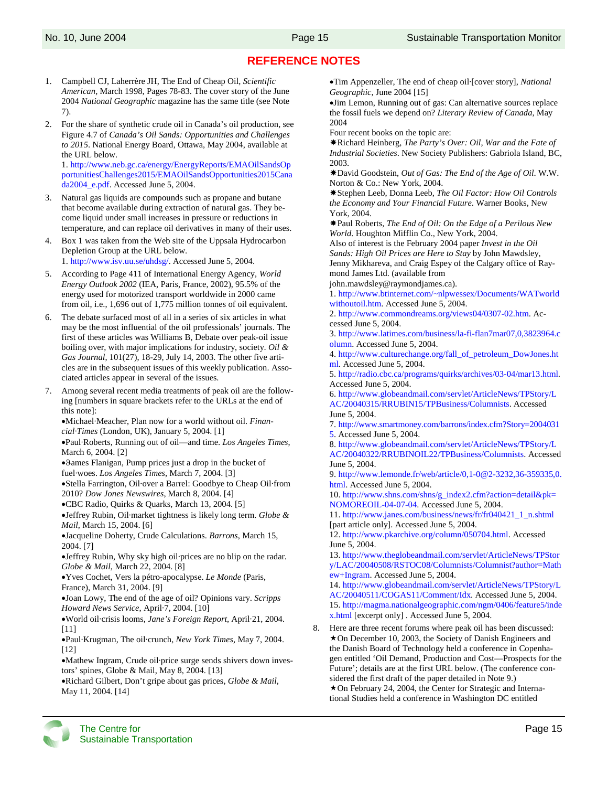# **REFERENCE NOTES**

- 1. Campbell CJ, Laherrère JH, The End of Cheap Oil, *Scientific American*, March 1998, Pages 78-83. The cover story of the June 2004 *National Geographic* magazine has the same title (see Note 7).
- 2. For the share of synthetic crude oil in Canada's oil production, see Figure 4.7 of *Canada's Oil Sands: Opportunities and Challenges to 2015*. National Energy Board, Ottawa, May 2004, available at the URL below. 1. http://www.neb.gc.ca/energy/EnergyReports/EMAOilSandsOp

portunitiesChallenges2015/EMAOilSandsOpportunities2015Cana da2004\_e.pdf. Accessed June 5, 2004.

- 3. Natural gas liquids are compounds such as propane and butane that become available during extraction of natural gas. They become liquid under small increases in pressure or reductions in temperature, and can replace oil derivatives in many of their uses.
- 4. Box 1 was taken from the Web site of the Uppsala Hydrocarbon Depletion Group at the URL below.

1. http://www.isv.uu.se/uhdsg/. Accessed June 5, 2004.

- 5. According to Page 411 of International Energy Agency, *World Energy Outlook 2002* (IEA, Paris, France, 2002), 95.5% of the energy used for motorized transport worldwide in 2000 came from oil, i.e., 1,696 out of 1,775 million tonnes of oil equivalent.
- 6. The debate surfaced most of all in a series of six articles in what may be the most influential of the oil professionals' journals. The first of these articles was Williams B, Debate over peak-oil issue boiling over, with major implications for industry, society. *Oil & Gas Journal*, 101(27), 18-29, July 14, 2003. The other five articles are in the subsequent issues of this weekly publication. Associated articles appear in several of the issues.
- 7. Among several recent media treatments of peak oil are the following [numbers in square brackets refer to the URLs at the end of this note]:

•Michael·Meacher, Plan now for a world without oil. *Financial·Times* (London, UK), January 5, 2004. [1]

•Paul·Roberts, Running out of oil—and time. *Los Angeles Times*, March 6, 2004. [2]

•ϑames Flanigan, Pump prices just a drop in the bucket of fuel·woes. *Los Angeles Times*, March 7, 2004. [3]

•Stella Farrington, Oil·over a Barrel: Goodbye to Cheap Oil·from 2010? *Dow Jones Newswires*, March 8, 2004. [4]

•CBC Radio, Quirks & Quarks, March 13, 2004. [5]

•Jeffrey Rubin, Oil·market tightness is likely long term. *Globe & Mail*, March 15, 2004. [6]

•Jacqueline Doherty, Crude Calculations. *Barrons*, March 15, 2004. [7]

•Jeffrey Rubin, Why sky high oil·prices are no blip on the radar. *Globe & Mail*, March 22, 2004. [8]

•Yves Cochet, Vers la pétro-apocalypse. *Le Monde* (Paris, France), March 31, 2004. [9]

•Joan Lowy, The end of the age of oil? Opinions vary. *Scripps Howard News Service*, April·7, 2004. [10]

•World oil·crisis looms, *Jane's Foreign Report*, April·21, 2004. [11]

•Paul·Krugman, The oil·crunch, *New York Times*, May 7, 2004. [12]

•Mathew Ingram, Crude oil·price surge sends shivers down investors' spines, Globe & Mail, May 8, 2004. [13]

•Richard Gilbert, Don't gripe about gas prices, *Globe & Mail*, May 11, 2004. [14]

•Tim Appenzeller, The end of cheap oil·[cover story], *National Geographic*, June 2004 [15]

•Jim Lemon, Running out of gas: Can alternative sources replace the fossil fuels we depend on? *Literary Review of Canada*, May 2004

Four recent books on the topic are:

Richard Heinberg, *The Party's Over: Oil, War and the Fate of Industrial Societies*. New Society Publishers: Gabriola Island, BC, 2003.

David Goodstein, *Out of Gas: The End of the Age of Oil*. W.W. Norton & Co.: New York, 2004.

Stephen Leeb, Donna Leeb, *The Oil Factor: How Oil Controls the Economy and Your Financial Future*. Warner Books, New York, 2004.

Paul Roberts, *The End of Oil: On the Edge of a Perilous New World*. Houghton Mifflin Co., New York, 2004.

Also of interest is the February 2004 paper *Invest in the Oil Sands: High Oil Prices are Here to Stay* by John Mawdsley, Jenny Mikhareva, and Craig Espey of the Calgary office of Raymond James Ltd. (available from

john.mawdsley@raymondjames.ca).

1. http://www.btinternet.com/~nlpwessex/Documents/WATworld withoutoil.htm. Accessed June 5, 2004.

2. http://www.commondreams.org/views04/0307-02.htm. Accessed June 5, 2004.

3. http://www.latimes.com/business/la-fi-flan7mar07,0,3823964.c olumn. Accessed June 5, 2004.

4. http://www.culturechange.org/fall\_of\_petroleum\_DowJones.ht ml. Accessed June 5, 2004.

5. http://radio.cbc.ca/programs/quirks/archives/03-04/mar13.html. Accessed June 5, 2004.

6. http://www.globeandmail.com/servlet/ArticleNews/TPStory/L AC/20040315/RRUBIN15/TPBusiness/Columnists. Accessed June 5, 2004.

7. http://www.smartmoney.com/barrons/index.cfm?Story=2004031 5. Accessed June 5, 2004.

8. http://www.globeandmail.com/servlet/ArticleNews/TPStory/L AC/20040322/RRUBINOIL22/TPBusiness/Columnists. Accessed June 5, 2004.

9. http://www.lemonde.fr/web/article/0,1-0@2-3232,36-359335,0. html. Accessed June 5, 2004.

10. http://www.shns.com/shns/g\_index2.cfm?action=detail&pk= NOMOREOIL-04-07-04. Accessed June 5, 2004.

11. http://www.janes.com/business/news/fr/fr040421\_1\_n.shtml [part article only]. Accessed June 5, 2004.

12. http://www.pkarchive.org/column/050704.html. Accessed June 5, 2004.

13. http://www.theglobeandmail.com/servlet/ArticleNews/TPStor y/LAC/20040508/RSTOC08/Columnists/Columnist?author=Math ew+Ingram. Accessed June 5, 2004.

14. http://www.globeandmail.com/servlet/ArticleNews/TPStory/L AC/20040511/COGAS11/Comment/Idx. Accessed June 5, 2004. 15. http://magma.nationalgeographic.com/ngm/0406/feature5/inde x.html [excerpt only] . Accessed June 5, 2004.

8. Here are three recent forums where peak oil has been discussed:  $\star$  On December 10, 2003, the Society of Danish Engineers and the Danish Board of Technology held a conference in Copenhagen entitled 'Oil Demand, Production and Cost—Prospects for the Future'; details are at the first URL below. (The conference considered the first draft of the paper detailed in Note 9.) On February 24, 2004, the Center for Strategic and International Studies held a conference in Washington DC entitled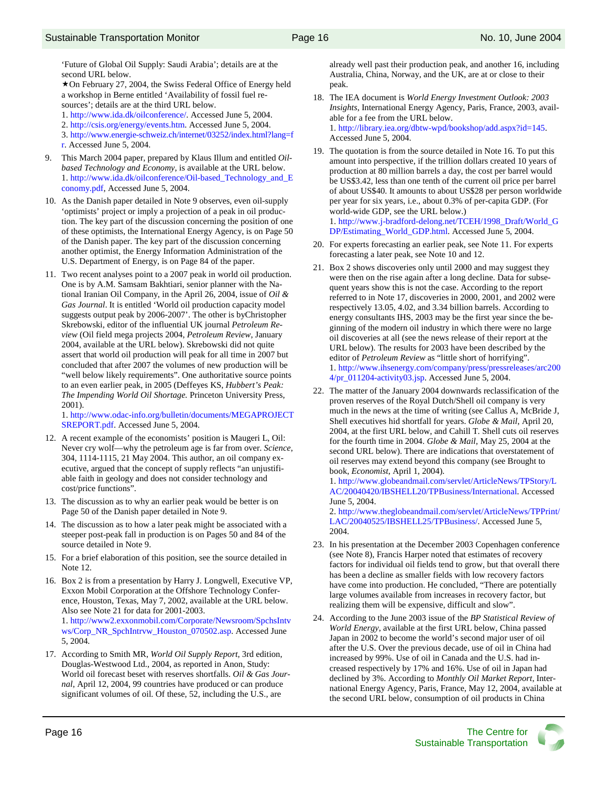'Future of Global Oil Supply: Saudi Arabia'; details are at the second URL below.

★ On February 27, 2004, the Swiss Federal Office of Energy held a workshop in Berne entitled 'Availability of fossil fuel resources'; details are at the third URL below.

1. http://www.ida.dk/oilconference/. Accessed June 5, 2004.

2. http://csis.org/energy/events.htm. Accessed June 5, 2004.

3. http://www.energie-schweiz.ch/internet/03252/index.html?lang=f r. Accessed June 5, 2004.

- 9. This March 2004 paper, prepared by Klaus Illum and entitled *Oilbased Technology and Economy*, is available at the URL below. 1. http://www.ida.dk/oilconference/Oil-based\_Technology\_and\_E conomy.pdf, Accessed June 5, 2004.
- 10. As the Danish paper detailed in Note 9 observes, even oil-supply 'optimists' project or imply a projection of a peak in oil production. The key part of the discussion concerning the position of one of these optimists, the International Energy Agency, is on Page 50 of the Danish paper. The key part of the discussion concerning another optimist, the Energy Information Administration of the U.S. Department of Energy, is on Page 84 of the paper.
- 11. Two recent analyses point to a 2007 peak in world oil production. One is by A.M. Samsam Bakhtiari, senior planner with the National Iranian Oil Company, in the April 26, 2004, issue of *Oil & Gas Journal*. It is entitled 'World oil production capacity model suggests output peak by 2006-2007'. The other is byChristopher Skrebowski, editor of the influential UK journal *Petroleum Review* (Oil field mega projects 2004, *Petroleum Review*, January 2004, available at the URL below). Skrebowski did not quite assert that world oil production will peak for all time in 2007 but concluded that after 2007 the volumes of new production will be "well below likely requirements". One authoritative source points to an even earlier peak, in 2005 (Deffeyes KS, *Hubbert's Peak: The Impending World Oil Shortage.* Princeton University Press, 2001).

1. http://www.odac-info.org/bulletin/documents/MEGAPROJECT SREPORT.pdf. Accessed June 5, 2004.

- 12. A recent example of the economists' position is Maugeri L, Oil: Never cry wolf—why the petroleum age is far from over. *Science*, 304, 1114-1115, 21 May 2004. This author, an oil company executive, argued that the concept of supply reflects "an unjustifiable faith in geology and does not consider technology and cost/price functions".
- 13. The discussion as to why an earlier peak would be better is on Page 50 of the Danish paper detailed in Note 9.
- 14. The discussion as to how a later peak might be associated with a steeper post-peak fall in production is on Pages 50 and 84 of the source detailed in Note 9.
- 15. For a brief elaboration of this position, see the source detailed in Note 12.

16. Box 2 is from a presentation by Harry J. Longwell, Executive VP, Exxon Mobil Corporation at the Offshore Technology Conference, Houston, Texas, May 7, 2002, available at the URL below. Also see Note 21 for data for 2001-2003. 1. http://www2.exxonmobil.com/Corporate/Newsroom/SpchsIntv ws/Corp\_NR\_SpchIntrvw\_Houston\_070502.asp. Accessed June 5, 2004.

17. According to Smith MR, *World Oil Supply Report*, 3rd edition, Douglas-Westwood Ltd., 2004, as reported in Anon, Study: World oil forecast beset with reserves shortfalls. *Oil & Gas Journal*, April 12, 2004, 99 countries have produced or can produce significant volumes of oil. Of these, 52, including the U.S., are

already well past their production peak, and another 16, including Australia, China, Norway, and the UK, are at or close to their peak.

- 18. The IEA document is *World Energy Investment Outlook: 2003 Insights*, International Energy Agency, Paris, France, 2003, available for a fee from the URL below. 1. http://library.iea.org/dbtw-wpd/bookshop/add.aspx?id=145. Accessed June 5, 2004.
- 19. The quotation is from the source detailed in Note 16. To put this amount into perspective, if the trillion dollars created 10 years of production at 80 million barrels a day, the cost per barrel would be US\$3.42, less than one tenth of the current oil price per barrel of about US\$40. It amounts to about US\$28 per person worldwide per year for six years, i.e., about 0.3% of per-capita GDP. (For world-wide GDP, see the URL below.) 1. http://www.j-bradford-delong.net/TCEH/1998\_Draft/World\_G DP/Estimating\_World\_GDP.html. Accessed June 5, 2004.
- 20. For experts forecasting an earlier peak, see Note 11. For experts forecasting a later peak, see Note 10 and 12.
- 21. Box 2 shows discoveries only until 2000 and may suggest they were then on the rise again after a long decline. Data for subsequent years show this is not the case. According to the report referred to in Note 17, discoveries in 2000, 2001, and 2002 were respectively 13.05, 4.02, and 3.34 billion barrels. According to energy consultants IHS, 2003 may be the first year since the beginning of the modern oil industry in which there were no large oil discoveries at all (see the news release of their report at the URL below). The results for 2003 have been described by the editor of *Petroleum Review* as "little short of horrifying". 1. http://www.ihsenergy.com/company/press/pressreleases/arc200 4/pr\_011204-activity03.jsp. Accessed June 5, 2004.
- 22. The matter of the January 2004 downwards reclassification of the proven reserves of the Royal Dutch/Shell oil company is very much in the news at the time of writing (see Callus A, McBride J, Shell executives hid shortfall for years. *Globe & Mail*, April 20, 2004, at the first URL below, and Cahill T*.* Shell cuts oil reserves for the fourth time in 2004. *Globe & Mail*, May 25, 2004 at the second URL below). There are indications that overstatement of oil reserves may extend beyond this company (see Brought to book, *Economist*, April 1, 2004).

1. http://www.globeandmail.com/servlet/ArticleNews/TPStory/L AC/20040420/IBSHELL20/TPBusiness/International. Accessed June 5, 2004.

2. http://www.theglobeandmail.com/servlet/ArticleNews/TPPrint/ LAC/20040525/IBSHELL25/TPBusiness/. Accessed June 5, 2004.

- 23. In his presentation at the December 2003 Copenhagen conference (see Note 8), Francis Harper noted that estimates of recovery factors for individual oil fields tend to grow, but that overall there has been a decline as smaller fields with low recovery factors have come into production. He concluded, "There are potentially large volumes available from increases in recovery factor, but realizing them will be expensive, difficult and slow".
- 24. According to the June 2003 issue of the *BP Statistical Review of World Energy*, available at the first URL below, China passed Japan in 2002 to become the world's second major user of oil after the U.S. Over the previous decade, use of oil in China had increased by 99%. Use of oil in Canada and the U.S. had increased respectively by 17% and 16%. Use of oil in Japan had declined by 3%. According to *Monthly Oil Market Report*, International Energy Agency, Paris, France, May 12, 2004, available at the second URL below, consumption of oil products in China

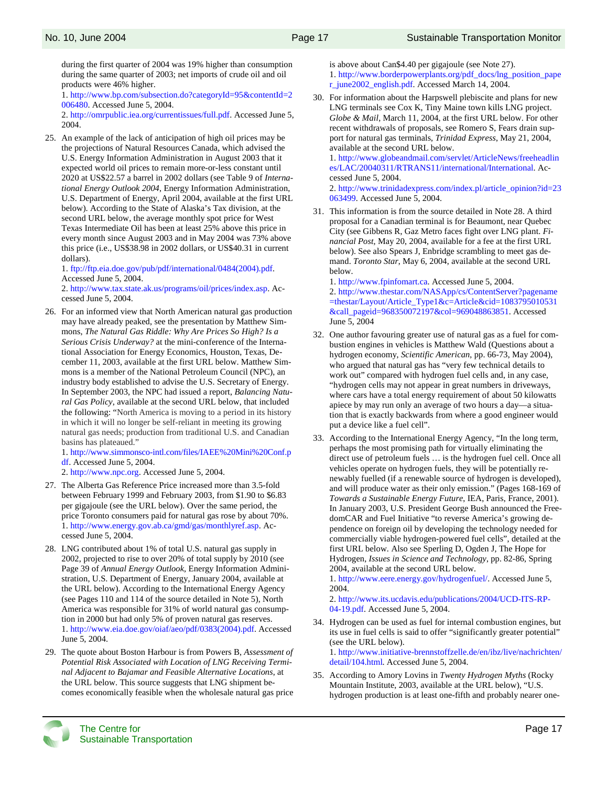during the first quarter of 2004 was 19% higher than consumption during the same quarter of 2003; net imports of crude oil and oil products were 46% higher.

1. http://www.bp.com/subsection.do?categoryId=95&contentId=2 006480. Accessed June 5, 2004.

2. http://omrpublic.iea.org/currentissues/full.pdf. Accessed June 5, 2004.

25. An example of the lack of anticipation of high oil prices may be the projections of Natural Resources Canada, which advised the U.S. Energy Information Administration in August 2003 that it expected world oil prices to remain more-or-less constant until 2020 at US\$22.57 a barrel in 2002 dollars (see Table 9 of *International Energy Outlook 2004*, Energy Information Administration, U.S. Department of Energy, April 2004, available at the first URL below). According to the State of Alaska's Tax division, at the second URL below, the average monthly spot price for West Texas Intermediate Oil has been at least 25% above this price in every month since August 2003 and in May 2004 was 73% above this price (i.e., US\$38.98 in 2002 dollars, or US\$40.31 in current dollars).

1. ftp://ftp.eia.doe.gov/pub/pdf/international/0484(2004).pdf. Accessed June 5, 2004.

2. http://www.tax.state.ak.us/programs/oil/prices/index.asp. Accessed June 5, 2004.

26. For an informed view that North American natural gas production may have already peaked, see the presentation by Matthew Simmons, *The Natural Gas Riddle: Why Are Prices So High? Is a Serious Crisis Underway?* at the mini-conference of the International Association for Energy Economics, Houston, Texas, December 11, 2003, available at the first URL below. Matthew Simmons is a member of the National Petroleum Council (NPC), an industry body established to advise the U.S. Secretary of Energy. In September 2003, the NPC had issued a report, *Balancing Natural Gas Policy*, available at the second URL below, that included the following: "North America is moving to a period in its history in which it will no longer be self-reliant in meeting its growing natural gas needs; production from traditional U.S. and Canadian basins has plateaued."

1. http://www.simmonsco-intl.com/files/IAEE%20Mini%20Conf.p df. Accessed June 5, 2004.

2. http://www.npc.org. Accessed June 5, 2004.

- 27. The Alberta Gas Reference Price increased more than 3.5-fold between February 1999 and February 2003, from \$1.90 to \$6.83 per gigajoule (see the URL below). Over the same period, the price Toronto consumers paid for natural gas rose by about 70%. 1. http://www.energy.gov.ab.ca/gmd/gas/monthlyref.asp. Accessed June 5, 2004.
- 28. LNG contributed about 1% of total U.S. natural gas supply in 2002, projected to rise to over 20% of total supply by 2010 (see Page 39 of *Annual Energy Outlook*, Energy Information Administration, U.S. Department of Energy, January 2004, available at the URL below). According to the International Energy Agency (see Pages 110 and 114 of the source detailed in Note 5), North America was responsible for 31% of world natural gas consumption in 2000 but had only 5% of proven natural gas reserves. 1. http://www.eia.doe.gov/oiaf/aeo/pdf/0383(2004).pdf. Accessed June 5, 2004.
- 29. The quote about Boston Harbour is from Powers B, *Assessment of Potential Risk Associated with Location of LNG Receiving Terminal Adjacent to Bajamar and Feasible Alternative Locations*, at the URL below. This source suggests that LNG shipment becomes economically feasible when the wholesale natural gas price

is above about Can\$4.40 per gigajoule (see Note 27). 1. http://www.borderpowerplants.org/pdf\_docs/lng\_position\_pape r\_june2002\_english.pdf. Accessed March 14, 2004.

30. For information about the Harpswell plebiscite and plans for new LNG terminals see Cox K, Tiny Maine town kills LNG project. *Globe & Mail*, March 11, 2004, at the first URL below. For other recent withdrawals of proposals, see Romero S, Fears drain support for natural gas terminals, *Trinidad Express*, May 21, 2004, available at the second URL below.

1. http://www.globeandmail.com/servlet/ArticleNews/freeheadlin es/LAC/20040311/RTRANS11/international/International. Accessed June 5, 2004.

2. http://www.trinidadexpress.com/index.pl/article\_opinion?id=23 063499. Accessed June 5, 2004.

31. This information is from the source detailed in Note 28. A third proposal for a Canadian terminal is for Beaumont, near Quebec City (see Gibbens R, Gaz Metro faces fight over LNG plant. *Financial Post*, May 20, 2004, available for a fee at the first URL below). See also Spears J, Enbridge scrambling to meet gas demand. *Toronto Star*, May 6, 2004, available at the second URL below.

1. http://www.fpinfomart.ca. Accessed June 5, 2004. 2. http://www.thestar.com/NASApp/cs/ContentServer?pagename =thestar/Layout/Article\_Type1&c=Article&cid=1083795010531 &call\_pageid=968350072197&col=969048863851. Accessed June 5, 2004

- 32. One author favouring greater use of natural gas as a fuel for combustion engines in vehicles is Matthew Wald (Questions about a hydrogen economy, *Scientific American*, pp. 66-73, May 2004), who argued that natural gas has "very few technical details to work out" compared with hydrogen fuel cells and, in any case, "hydrogen cells may not appear in great numbers in driveways, where cars have a total energy requirement of about 50 kilowatts apiece by may run only an average of two hours a day—a situation that is exactly backwards from where a good engineer would put a device like a fuel cell".
- 33. According to the International Energy Agency, "In the long term, perhaps the most promising path for virtually eliminating the direct use of petroleum fuels … is the hydrogen fuel cell. Once all vehicles operate on hydrogen fuels, they will be potentially renewably fuelled (if a renewable source of hydrogen is developed), and will produce water as their only emission." (Pages 168-169 of *Towards a Sustainable Energy Future*, IEA, Paris, France, 2001). In January 2003, U.S. President George Bush announced the FreedomCAR and Fuel Initiative "to reverse America's growing dependence on foreign oil by developing the technology needed for commercially viable hydrogen-powered fuel cells", detailed at the first URL below. Also see Sperling D, Ogden J, The Hope for Hydrogen, *Issues in Science and Technology*, pp. 82-86, Spring 2004, available at the second URL below.

1. http://www.eere.energy.gov/hydrogenfuel/. Accessed June 5, 2004.

2. http://www.its.ucdavis.edu/publications/2004/UCD-ITS-RP-04-19.pdf. Accessed June 5, 2004.

34. Hydrogen can be used as fuel for internal combustion engines, but its use in fuel cells is said to offer "significantly greater potential" (see the URL below).

1. http://www.initiative-brennstoffzelle.de/en/ibz/live/nachrichten/ detail/104.html. Accessed June 5, 2004.

35. According to Amory Lovins in *Twenty Hydrogen Myths* (Rocky Mountain Institute, 2003, available at the URL below), "U.S. hydrogen production is at least one-fifth and probably nearer one-

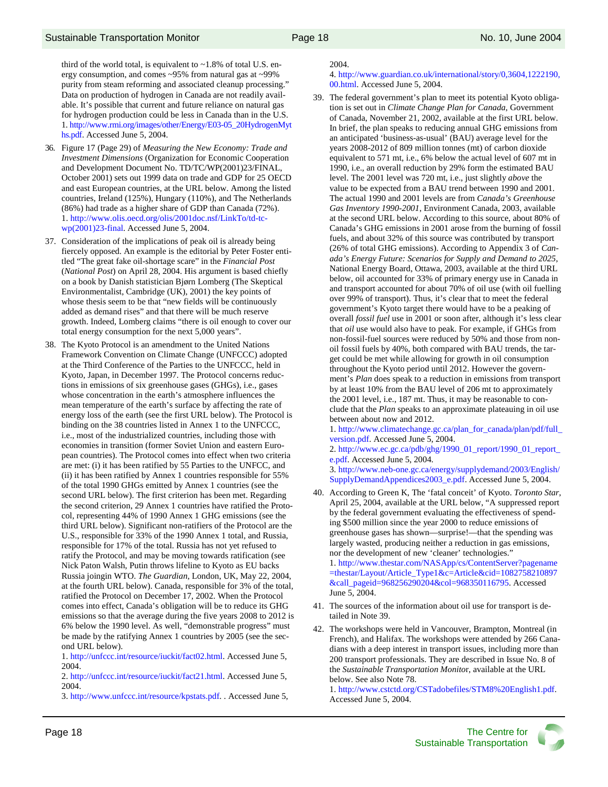third of the world total, is equivalent to ~1.8% of total U.S. energy consumption, and comes ~95% from natural gas at ~99% purity from steam reforming and associated cleanup processing." Data on production of hydrogen in Canada are not readily available. It's possible that current and future reliance on natural gas for hydrogen production could be less in Canada than in the U.S. 1. http://www.rmi.org/images/other/Energy/E03-05\_20HydrogenMyt hs.pdf. Accessed June 5, 2004.

- 36. Figure 17 (Page 29) of *Measuring the New Economy: Trade and Investment Dimensions* (Organization for Economic Cooperation and Development Document No. TD/TC/WP(2001)23/FINAL, October 2001) sets out 1999 data on trade and GDP for 25 OECD and east European countries, at the URL below. Among the listed countries, Ireland (125%), Hungary (110%), and The Netherlands (86%) had trade as a higher share of GDP than Canada (72%). 1. http://www.olis.oecd.org/olis/2001doc.nsf/LinkTo/td-tcwp(2001)23-final. Accessed June 5, 2004.
- 37. Consideration of the implications of peak oil is already being fiercely opposed. An example is the editorial by Peter Foster entitled "The great fake oil-shortage scare" in the *Financial Post*  (*National Post*) on April 28, 2004. His argument is based chiefly on a book by Danish statistician Bjørn Lomberg (The Skeptical Environmentalist, Cambridge (UK), 2001) the key points of whose thesis seem to be that "new fields will be continuously added as demand rises" and that there will be much reserve growth. Indeed, Lomberg claims "there is oil enough to cover our total energy consumption for the next 5,000 years".
- 38. The Kyoto Protocol is an amendment to the United Nations Framework Convention on Climate Change (UNFCCC) adopted at the Third Conference of the Parties to the UNFCCC, held in Kyoto, Japan, in December 1997. The Protocol concerns reductions in emissions of six greenhouse gases (GHGs), i.e., gases whose concentration in the earth's atmosphere influences the mean temperature of the earth's surface by affecting the rate of energy loss of the earth (see the first URL below). The Protocol is binding on the 38 countries listed in Annex 1 to the UNFCCC, i.e., most of the industrialized countries, including those with economies in transition (former Soviet Union and eastern European countries). The Protocol comes into effect when two criteria are met: (i) it has been ratified by 55 Parties to the UNFCC, and (ii) it has been ratified by Annex 1 countries responsible for 55% of the total 1990 GHGs emitted by Annex 1 countries (see the second URL below). The first criterion has been met. Regarding the second criterion, 29 Annex 1 countries have ratified the Protocol, representing 44% of 1990 Annex 1 GHG emissions (see the third URL below). Significant non-ratifiers of the Protocol are the U.S., responsible for 33% of the 1990 Annex 1 total, and Russia, responsible for 17% of the total. Russia has not yet refused to ratify the Protocol, and may be moving towards ratification (see Nick Paton Walsh, Putin throws lifeline to Kyoto as EU backs Russia joingin WTO. *The Guardian*, London, UK, May 22, 2004, at the fourth URL below). Canada, responsible for 3% of the total, ratified the Protocol on December 17, 2002. When the Protocol comes into effect, Canada's obligation will be to reduce its GHG emissions so that the average during the five years 2008 to 2012 is 6% below the 1990 level. As well, "demonstrable progress" must be made by the ratifying Annex 1 countries by 2005 (see the second URL below).

1. http://unfccc.int/resource/iuckit/fact02.html. Accessed June 5, 2004.

2. http://unfccc.int/resource/iuckit/fact21.html. Accessed June 5, 2004.

3. http://www.unfccc.int/resource/kpstats.pdf. . Accessed June 5,

2004.

4. http://www.guardian.co.uk/international/story/0,3604,1222190, 00.html. Accessed June 5, 2004.

39. The federal government's plan to meet its potential Kyoto obligation is set out in *Climate Change Plan for Canada*, Government of Canada, November 21, 2002, available at the first URL below. In brief, the plan speaks to reducing annual GHG emissions from an anticipated 'business-as-usual' (BAU) average level for the years 2008-2012 of 809 million tonnes (mt) of carbon dioxide equivalent to 571 mt, i.e., 6% below the actual level of 607 mt in 1990, i.e., an overall reduction by 29% form the estimated BAU level. The 2001 level was 720 mt, i.e., just slightly *above* the value to be expected from a BAU trend between 1990 and 2001. The actual 1990 and 2001 levels are from *Canada's Greenhouse Gas Inventory 1990-2001*, Environment Canada, 2003, available at the second URL below. According to this source, about 80% of Canada's GHG emissions in 2001 arose from the burning of fossil fuels, and about 32% of this source was contributed by transport (26% of total GHG emissions). According to Appendix 3 of *Canada's Energy Future: Scenarios for Supply and Demand to 2025*, National Energy Board, Ottawa, 2003, available at the third URL below, oil accounted for 33% of primary energy use in Canada in and transport accounted for about 70% of oil use (with oil fuelling over 99% of transport). Thus, it's clear that to meet the federal government's Kyoto target there would have to be a peaking of overall *fossil fuel* use in 2001 or soon after, although it's less clear that *oil* use would also have to peak. For example, if GHGs from non-fossil-fuel sources were reduced by 50% and those from nonoil fossil fuels by 40%, both compared with BAU trends, the target could be met while allowing for growth in oil consumption throughout the Kyoto period until 2012. However the government's *Plan* does speak to a reduction in emissions from transport by at least 10% from the BAU level of 206 mt to approximately the 2001 level, i.e., 187 mt. Thus, it may be reasonable to conclude that the *Plan* speaks to an approximate plateauing in oil use between about now and 2012.

1. http://www.climatechange.gc.ca/plan\_for\_canada/plan/pdf/full\_ version.pdf. Accessed June 5, 2004.

2. http://www.ec.gc.ca/pdb/ghg/1990\_01\_report/1990\_01\_report\_ e.pdf. Accessed June 5, 2004.

3. http://www.neb-one.gc.ca/energy/supplydemand/2003/English/ SupplyDemandAppendices2003\_e.pdf. Accessed June 5, 2004.

- 40. According to Green K, The 'fatal conceit' of Kyoto. *Toronto Star*, April 25, 2004, available at the URL below, "A suppressed report by the federal government evaluating the effectiveness of spending \$500 million since the year 2000 to reduce emissions of greenhouse gases has shown—surprise!—that the spending was largely wasted, producing neither a reduction in gas emissions, nor the development of new 'cleaner' technologies." 1. http://www.thestar.com/NASApp/cs/ContentServer?pagename =thestar/Layout/Article\_Type1&c=Article&cid=1082758210897 &call\_pageid=968256290204&col=968350116795. Accessed June 5, 2004.
- 41. The sources of the information about oil use for transport is detailed in Note 39.
- 42. The workshops were held in Vancouver, Brampton, Montreal (in French), and Halifax. The workshops were attended by 266 Canadians with a deep interest in transport issues, including more than 200 transport professionals. They are described in Issue No. 8 of the *Sustainable Transportation Monito*r, available at the URL below. See also Note 78.

1. http://www.cstctd.org/CSTadobefiles/STM8%20English1.pdf. Accessed June 5, 2004.

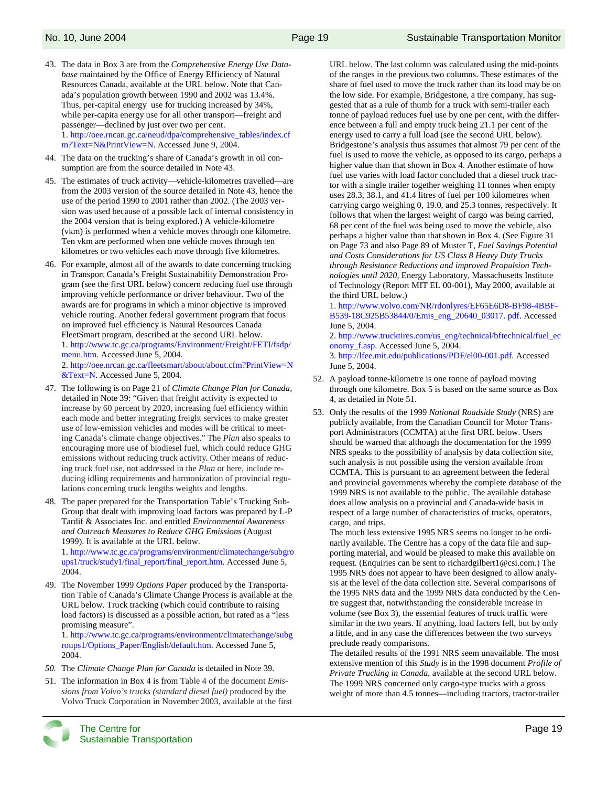- 43. The data in Box 3 are from the *Comprehensive Energy Use Database* maintained by the Office of Energy Efficiency of Natural Resources Canada, available at the URL below. Note that Canada's population growth between 1990 and 2002 was 13.4%. Thus, per-capital energy use for trucking increased by 34%, while per-capita energy use for all other transport—freight and passenger—declined by just over two per cent. 1. http://oee.rncan.gc.ca/neud/dpa/comprehensive\_tables/index.cf m?Text=N&PrintView=N. Accessed June 9, 2004.
- 44. The data on the trucking's share of Canada's growth in oil consumption are from the source detailed in Note 43.
- 45. The estimates of truck activity—vehicle-kilometres travelled—are from the 2003 version of the source detailed in Note 43, hence the use of the period 1990 to 2001 rather than 2002. (The 2003 version was used because of a possible lack of internal consistency in the 2004 version that is being explored.) A vehicle-kilometre (vkm) is performed when a vehicle moves through one kilometre. Ten vkm are performed when one vehicle moves through ten kilometres or two vehicles each move through five kilometres.
- 46. For example, almost all of the awards to date concerning trucking in Transport Canada's Freight Sustainability Demonstration Program (see the first URL below) concern reducing fuel use through improving vehicle performance or driver behaviour. Two of the awards are for programs in which a minor objective is improved vehicle routing. Another federal government program that focus on improved fuel efficiency is Natural Resources Canada FleetSmart program, described at the second URL below. 1. http://www.tc.gc.ca/programs/Environment/Freight/FETI/fsdp/ menu.htm. Accessed June 5, 2004. 2. http://oee.nrcan.gc.ca/fleetsmart/about/about.cfm?PrintView=N &Text=N. Accessed June 5, 2004.
- 47. The following is on Page 21 of *Climate Change Plan for Canada*, detailed in Note 39: "Given that freight activity is expected to increase by 60 percent by 2020, increasing fuel efficiency within each mode and better integrating freight services to make greater use of low-emission vehicles and modes will be critical to meeting Canada's climate change objectives." The *Plan* also speaks to encouraging more use of biodiesel fuel, which could reduce GHG emissions without reducing truck activity. Other means of reducing truck fuel use, not addressed in the *Plan* or here, include reducing idling requirements and harmonization of provincial regulations concerning truck lengths weights and lengths.
- 48. The paper prepared for the Transportation Table's Trucking Sub-Group that dealt with improving load factors was prepared by L-P Tardif & Associates Inc. and entitled *Environmental Awareness and Outreach Measures to Reduce GHG Emission*s (August 1999). It is available at the URL below.

1. http://www.tc.gc.ca/programs/environment/climatechange/subgro ups1/truck/study1/final\_report/final\_report.htm. Accessed June 5, 2004.

49. The November 1999 *Options Paper* produced by the Transportation Table of Canada's Climate Change Process is available at the URL below. Truck tracking (which could contribute to raising load factors) is discussed as a possible action, but rated as a "less promising measure". 1. http://www.tc.gc.ca/programs/environment/climatechange/subg

roups1/Options\_Paper/English/default.htm. Accessed June 5, 2004.

- *50.* The *Climate Change Plan for Canada* is detailed in Note 39.
- 51. The information in Box 4 is from Table 4 of the document *Emissions from Volvo's trucks (standard diesel fuel)* produced by the Volvo Truck Corporation in November 2003, available at the first



URL below. The last column was calculated using the mid-points of the ranges in the previous two columns. These estimates of the share of fuel used to move the truck rather than its load may be on the low side. For example, Bridgestone, a tire company, has suggested that as a rule of thumb for a truck with semi-trailer each tonne of payload reduces fuel use by one per cent, with the difference between a full and empty truck being 21.1 per cent of the energy used to carry a full load (see the second URL below). Bridgestone's analysis thus assumes that almost 79 per cent of the fuel is used to move the vehicle, as opposed to its cargo, perhaps a higher value than that shown in Box 4. Another estimate of how fuel use varies with load factor concluded that a diesel truck tractor with a single trailer together weighing 11 tonnes when empty uses 28.3, 38.1, and 41.4 litres of fuel per 100 kilometres when carrying cargo weighing 0, 19.0, and 25.3 tonnes, respectively. It follows that when the largest weight of cargo was being carried, 68 per cent of the fuel was being used to move the vehicle, also perhaps a higher value than that shown in Box 4. (See Figure 31 on Page 73 and also Page 89 of Muster T, *Fuel Savings Potential and Costs Considerations for US Class 8 Heavy Duty Trucks through Resistance Reductions and improved Propulsion Technologies until 2020*, Energy Laboratory, Massachusetts Institute of Technology (Report MIT EL 00-001), May 2000, available at the third URL below.)

1. http://www.volvo.com/NR/rdonlyres/EF65E6D8-BF98-4BBF-B539-18C925B53844/0/Emis\_eng\_20640\_03017. pdf. Accessed June 5, 2004.

2. http://www.trucktires.com/us\_eng/technical/bftechnical/fuel\_ec onomy\_f.asp. Accessed June 5, 2004.

3. http://lfee.mit.edu/publications/PDF/el00-001.pdf. Accessed June 5, 2004.

- 52. A payload tonne-kilometre is one tonne of payload moving through one kilometre. Box 5 is based on the same source as Box 4, as detailed in Note 51.
- 53. Only the results of the 1999 *National Roadside Study* (NRS) are publicly available, from the Canadian Council for Motor Transport Administrators (CCMTA) at the first URL below. Users should be warned that although the documentation for the 1999 NRS speaks to the possibility of analysis by data collection site, such analysis is not possible using the version available from CCMTA. This is pursuant to an agreement between the federal and provincial governments whereby the complete database of the 1999 NRS is not available to the public. The available database does allow analysis on a provincial and Canada-wide basis in respect of a large number of characteristics of trucks, operators, cargo, and trips.

The much less extensive 1995 NRS seems no longer to be ordinarily available. The Centre has a copy of the data file and supporting material, and would be pleased to make this available on request. (Enquiries can be sent to richardgilbert1@csi.com.) The 1995 NRS does not appear to have been designed to allow analysis at the level of the data collection site. Several comparisons of the 1995 NRS data and the 1999 NRS data conducted by the Centre suggest that, notwithstanding the considerable increase in volume (see Box 3), the essential features of truck traffic were similar in the two years. If anything, load factors fell, but by only a little, and in any case the differences between the two surveys preclude ready comparisons.

The detailed results of the 1991 NRS seem unavailable. The most extensive mention of this *Study* is in the 1998 document *Profile of Private Trucking in Canada*, available at the second URL below. The 1999 NRS concerned only cargo-type trucks with a gross weight of more than 4.5 tonnes—including tractors, tractor-trailer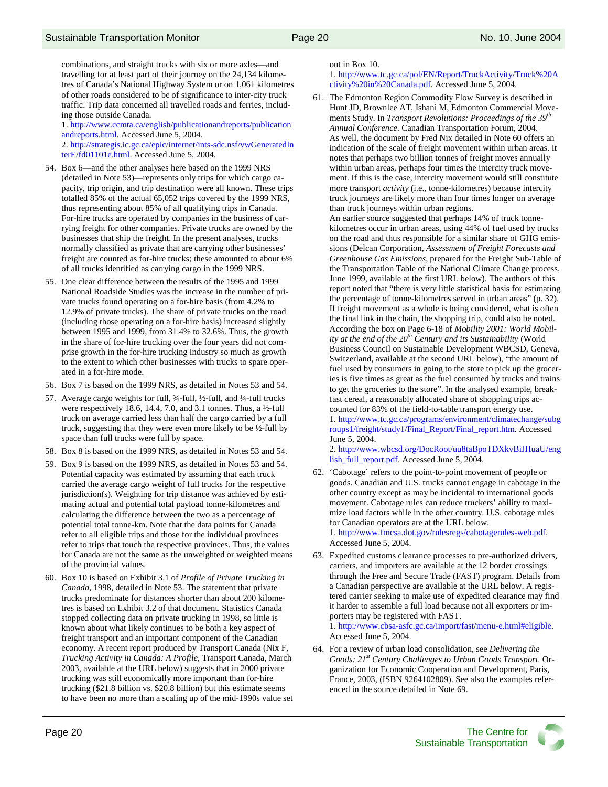combinations, and straight trucks with six or more axles—and travelling for at least part of their journey on the 24,134 kilometres of Canada's National Highway System or on 1,061 kilometres of other roads considered to be of significance to inter-city truck traffic. Trip data concerned all travelled roads and ferries, including those outside Canada.

1. http://www.ccmta.ca/english/publicationandreports/publication andreports.html. Accessed June 5, 2004. 2. http://strategis.ic.gc.ca/epic/internet/ints-sdc.nsf/vwGeneratedIn

terE/fd01101e.html. Accessed June 5, 2004.

- 54. Box 6—and the other analyses here based on the 1999 NRS (detailed in Note 53)—represents only trips for which cargo capacity, trip origin, and trip destination were all known. These trips totalled 85% of the actual 65,052 trips covered by the 1999 NRS, thus representing about 85% of all qualifying trips in Canada. For-hire trucks are operated by companies in the business of carrying freight for other companies. Private trucks are owned by the businesses that ship the freight. In the present analyses, trucks normally classified as private that are carrying other businesses' freight are counted as for-hire trucks; these amounted to about 6% of all trucks identified as carrying cargo in the 1999 NRS.
- 55. One clear difference between the results of the 1995 and 1999 National Roadside Studies was the increase in the number of private trucks found operating on a for-hire basis (from 4.2% to 12.9% of private trucks). The share of private trucks on the road (including those operating on a for-hire basis) increased slightly between 1995 and 1999, from 31.4% to 32.6%. Thus, the growth in the share of for-hire trucking over the four years did not comprise growth in the for-hire trucking industry so much as growth to the extent to which other businesses with trucks to spare operated in a for-hire mode.
- 56. Box 7 is based on the 1999 NRS, as detailed in Notes 53 and 54.
- 57. Average cargo weights for full, ¾-full, ½-full, and ¼-full trucks were respectively 18.6, 14.4, 7.0, and 3.1 tonnes. Thus, a ½-full truck on average carried less than half the cargo carried by a full truck, suggesting that they were even more likely to be ½-full by space than full trucks were full by space.
- 58. Box 8 is based on the 1999 NRS, as detailed in Notes 53 and 54.
- 59. Box 9 is based on the 1999 NRS, as detailed in Notes 53 and 54. Potential capacity was estimated by assuming that each truck carried the average cargo weight of full trucks for the respective jurisdiction(s). Weighting for trip distance was achieved by estimating actual and potential total payload tonne-kilometres and calculating the difference between the two as a percentage of potential total tonne-km. Note that the data points for Canada refer to all eligible trips and those for the individual provinces refer to trips that touch the respective provinces. Thus, the values for Canada are not the same as the unweighted or weighted means of the provincial values.
- 60. Box 10 is based on Exhibit 3.1 of *Profile of Private Trucking in Canada*, 1998, detailed in Note 53. The statement that private trucks predominate for distances shorter than about 200 kilometres is based on Exhibit 3.2 of that document. Statistics Canada stopped collecting data on private trucking in 1998, so little is known about what likely continues to be both a key aspect of freight transport and an important component of the Canadian economy. A recent report produced by Transport Canada (Nix F, *Trucking Activity in Canada: A Profile*, Transport Canada, March 2003, available at the URL below) suggests that in 2000 private trucking was still economically more important than for-hire trucking (\$21.8 billion vs. \$20.8 billion) but this estimate seems to have been no more than a scaling up of the mid-1990s value set

out in Box 10.

1. http://www.tc.gc.ca/pol/EN/Report/TruckActivity/Truck%20A ctivity%20in%20Canada.pdf. Accessed June 5, 2004.

61. The Edmonton Region Commodity Flow Survey is described in Hunt JD, Brownlee AT, Ishani M, Edmonton Commercial Movements Study. In *Transport Revolutions: Proceedings of the 39th Annual Conference*. Canadian Transportation Forum, 2004. As well, the document by Fred Nix detailed in Note 60 offers an indication of the scale of freight movement within urban areas. It notes that perhaps two billion tonnes of freight moves annually within urban areas, perhaps four times the intercity truck movement. If this is the case, intercity movement would still constitute more transport *activity* (i.e., tonne-kilometres) because intercity truck journeys are likely more than four times longer on average than truck journeys within urban regions.

An earlier source suggested that perhaps 14% of truck tonnekilometres occur in urban areas, using 44% of fuel used by trucks on the road and thus responsible for a similar share of GHG emissions (Delcan Corporation, *Assessment of Freight Forecasts and Greenhouse Gas Emissions*, prepared for the Freight Sub-Table of the Transportation Table of the National Climate Change process, June 1999, available at the first URL below). The authors of this report noted that "there is very little statistical basis for estimating the percentage of tonne-kilometres served in urban areas" (p. 32). If freight movement as a whole is being considered, what is often the final link in the chain, the shopping trip, could also be noted. According the box on Page 6-18 of *Mobility 2001: World Mobility at the end of the 20th Century and its Sustainability* (World Business Council on Sustainable Development WBCSD, Geneva, Switzerland, available at the second URL below), "the amount of fuel used by consumers in going to the store to pick up the groceries is five times as great as the fuel consumed by trucks and trains to get the groceries to the store". In the analysed example, breakfast cereal, a reasonably allocated share of shopping trips accounted for 83% of the field-to-table transport energy use.

1. http://www.tc.gc.ca/programs/environment/climatechange/subg roups1/freight/study1/Final\_Report/Final\_report.htm. Accessed June 5, 2004.

2. http://www.wbcsd.org/DocRoot/uu8taBpoTDXkvBiJHuaU/eng lish\_full\_report.pdf. Accessed June 5, 2004.

62. 'Cabotage' refers to the point-to-point movement of people or goods. Canadian and U.S. trucks cannot engage in cabotage in the other country except as may be incidental to international goods movement. Cabotage rules can reduce truckers' ability to maximize load factors while in the other country. U.S. cabotage rules for Canadian operators are at the URL below. 1. http://www.fmcsa.dot.gov/rulesregs/cabotagerules-web.pdf. Accessed June 5, 2004.

63. Expedited customs clearance processes to pre-authorized drivers, carriers, and importers are available at the 12 border crossings through the Free and Secure Trade (FAST) program. Details from a Canadian perspective are available at the URL below. A registered carrier seeking to make use of expedited clearance may find it harder to assemble a full load because not all exporters or importers may be registered with FAST.

1. http://www.cbsa-asfc.gc.ca/import/fast/menu-e.html#eligible. Accessed June 5, 2004.

64. For a review of urban load consolidation, see *Delivering the Goods: 21st Century Challenges to Urban Goods Transport*. Organization for Economic Cooperation and Development, Paris, France, 2003, (ISBN 9264102809). See also the examples referenced in the source detailed in Note 69.

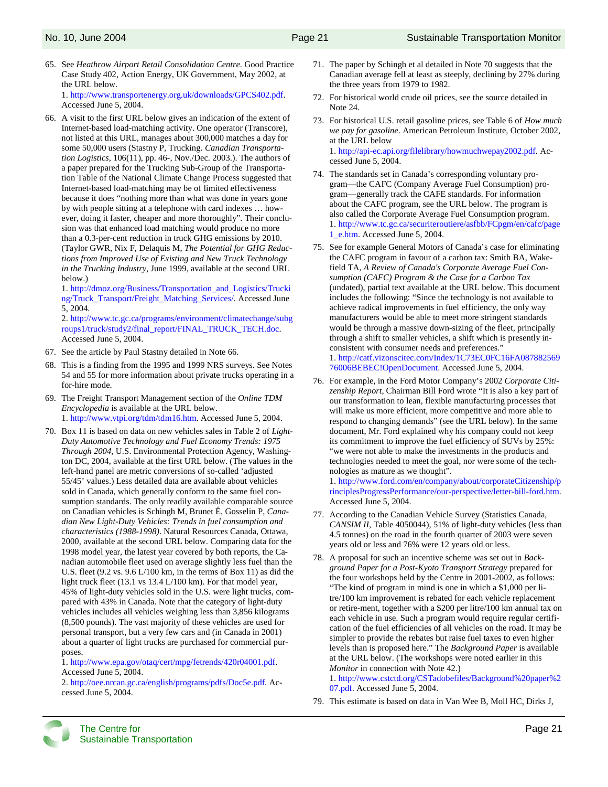- 65. See *Heathrow Airport Retail Consolidation Centre*. Good Practice Case Study 402, Action Energy, UK Government, May 2002, at the URL below. 1. http://www.transportenergy.org.uk/downloads/GPCS402.pdf. Accessed June 5, 2004.
- 66. A visit to the first URL below gives an indication of the extent of Internet-based load-matching activity. One operator (Transcore), not listed at this URL, manages about 300,000 matches a day for some 50,000 users (Stastny P, Trucking. *Canadian Transportation Logistics*, 106(11), pp. 46-, Nov./Dec. 2003.). The authors of a paper prepared for the Trucking Sub-Group of the Transportation Table of the National Climate Change Process suggested that Internet-based load-matching may be of limited effectiveness because it does "nothing more than what was done in years gone by with people sitting at a telephone with card indexes … however, doing it faster, cheaper and more thoroughly". Their conclusion was that enhanced load matching would produce no more than a 0.3-per-cent reduction in truck GHG emissions by 2010. (Taylor GWR, Nix F, Delaquis M, *The Potential for GHG Reductions from Improved Use of Existing and New Truck Technology in the Trucking Industry*, June 1999, available at the second URL below.)

1. http://dmoz.org/Business/Transportation\_and\_Logistics/Trucki ng/Truck\_Transport/Freight\_Matching\_Services/. Accessed June 5, 2004.

2. http://www.tc.gc.ca/programs/environment/climatechange/subg roups1/truck/study2/final\_report/FINAL\_TRUCK\_TECH.doc. Accessed June 5, 2004.

- 67. See the article by Paul Stastny detailed in Note 66.
- 68. This is a finding from the 1995 and 1999 NRS surveys. See Notes 54 and 55 for more information about private trucks operating in a for-hire mode.
- 69. The Freight Transport Management section of the *Online TDM Encyclopedia* is available at the URL below. 1. http://www.vtpi.org/tdm/tdm16.htm. Accessed June 5, 2004.
- 70. Box 11 is based on data on new vehicles sales in Table 2 of *Light-Duty Automotive Technology and Fuel Economy Trends: 1975 Through 2004*, U.S. Environmental Protection Agency, Washington DC, 2004, available at the first URL below. (The values in the left-hand panel are metric conversions of so-called 'adjusted 55/45' values.) Less detailed data are available about vehicles sold in Canada, which generally conform to the same fuel consumption standards. The only readily available comparable source on Canadian vehicles is Schingh M, Brunet É, Gosselin P, *Canadian New Light-Duty Vehicles: Trends in fuel consumption and characteristics (1988-1998)*. Natural Resources Canada, Ottawa, 2000, available at the second URL below. Comparing data for the 1998 model year, the latest year covered by both reports, the Canadian automobile fleet used on average slightly less fuel than the U.S. fleet (9.2 vs. 9.6 L/100 km, in the terms of Box 11) as did the light truck fleet (13.1 vs 13.4 L/100 km). For that model year, 45% of light-duty vehicles sold in the U.S. were light trucks, compared with 43% in Canada. Note that the category of light-duty vehicles includes all vehicles weighing less than 3,856 kilograms (8,500 pounds). The vast majority of these vehicles are used for personal transport, but a very few cars and (in Canada in 2001) about a quarter of light trucks are purchased for commercial purposes.

1. http://www.epa.gov/otaq/cert/mpg/fetrends/420r04001.pdf. Accessed June 5, 2004.

2. http://oee.nrcan.gc.ca/english/programs/pdfs/Doc5e.pdf. Accessed June 5, 2004.

- 71. The paper by Schingh et al detailed in Note 70 suggests that the Canadian average fell at least as steeply, declining by 27% during the three years from 1979 to 1982.
- 72. For historical world crude oil prices, see the source detailed in Note 24.
- 73. For historical U.S. retail gasoline prices, see Table 6 of *How much we pay for gasoline*. American Petroleum Institute, October 2002, at the URL below 1. http://api-ec.api.org/filelibrary/howmuchwepay2002.pdf. Accessed June 5, 2004.
- 74. The standards set in Canada's corresponding voluntary program—the CAFC (Company Average Fuel Consumption) program—generally track the CAFE standards. For information about the CAFC program, see the URL below. The program is also called the Corporate Average Fuel Consumption program. 1. http://www.tc.gc.ca/securiteroutiere/asfbb/FCpgm/en/cafc/page 1\_e.htm. Accessed June 5, 2004.
- 75. See for example General Motors of Canada's case for eliminating the CAFC program in favour of a carbon tax: Smith BA, Wakefield TA, *A Review of Canada's Corporate Average Fuel Consumption (CAFC) Program & the Case for a Carbon Tax* (undated), partial text available at the URL below. This document includes the following: "Since the technology is not available to achieve radical improvements in fuel efficiency, the only way manufacturers would be able to meet more stringent standards would be through a massive down-sizing of the fleet, principally through a shift to smaller vehicles, a shift which is presently inconsistent with consumer needs and preferences." 1. http://catf.vizonscitec.com/Index/1C73EC0FC16FA087882569 76006BEBEC!OpenDocument. Accessed June 5, 2004.
- 76. For example, in the Ford Motor Company's 2002 *Corporate Citizenship Report*, Chairman Bill Ford wrote "It is also a key part of our transformation to lean, flexible manufacturing processes that will make us more efficient, more competitive and more able to respond to changing demands" (see the URL below). In the same document, Mr. Ford explained why his company could not keep its commitment to improve the fuel efficiency of SUVs by 25%: "we were not able to make the investments in the products and technologies needed to meet the goal, nor were some of the technologies as mature as we thought".

1. http://www.ford.com/en/company/about/corporateCitizenship/p rinciplesProgressPerformance/our-perspective/letter-bill-ford.htm. Accessed June 5, 2004.

- 77. According to the Canadian Vehicle Survey (Statistics Canada, *CANSIM II*, Table 4050044), 51% of light-duty vehicles (less than 4.5 tonnes) on the road in the fourth quarter of 2003 were seven years old or less and 76% were 12 years old or less.
- 78. A proposal for such an incentive scheme was set out in *Background Paper for a Post-Kyoto Transport Strategy* prepared for the four workshops held by the Centre in 2001-2002, as follows: "The kind of program in mind is one in which a \$1,000 per litre/100 km improvement is rebated for each vehicle replacement or retire-ment, together with a \$200 per litre/100 km annual tax on each vehicle in use. Such a program would require regular certification of the fuel efficiencies of all vehicles on the road. It may be simpler to provide the rebates but raise fuel taxes to even higher levels than is proposed here." The *Background Paper* is available at the URL below. (The workshops were noted earlier in this *Monitor* in connection with Note 42.)

1. http://www.cstctd.org/CSTadobefiles/Background%20paper%2 07.pdf. Accessed June 5, 2004.

79. This estimate is based on data in Van Wee B, Moll HC, Dirks J,